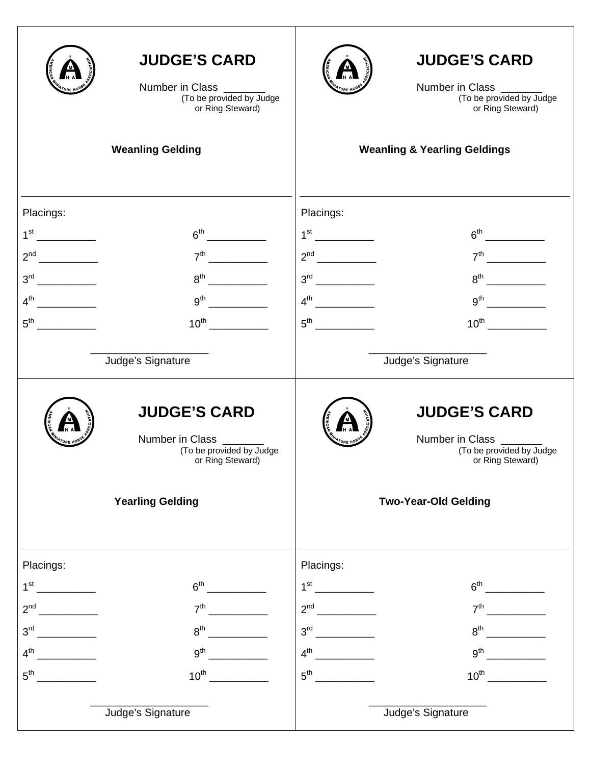|                                             | <b>JUDGE'S CARD</b><br>Number in Class _______<br>(To be provided by Judge<br>or Ring Steward)<br><b>Weanling Gelding</b> |                 | <b>JUDGE'S CARD</b><br>Number in Class _______<br>(To be provided by Judge<br>or Ring Steward)<br><b>Weanling &amp; Yearling Geldings</b> |
|---------------------------------------------|---------------------------------------------------------------------------------------------------------------------------|-----------------|-------------------------------------------------------------------------------------------------------------------------------------------|
|                                             |                                                                                                                           |                 |                                                                                                                                           |
|                                             |                                                                                                                           |                 |                                                                                                                                           |
| Placings:                                   |                                                                                                                           | Placings:       |                                                                                                                                           |
|                                             | 7 <sup>th</sup>                                                                                                           |                 |                                                                                                                                           |
|                                             | $8^{\text{th}}$                                                                                                           |                 |                                                                                                                                           |
| $4^{\text{th}}$<br>$\overline{\phantom{a}}$ | $9^{\text{th}}$                                                                                                           |                 | $9^{th}$                                                                                                                                  |
| 5 <sup>th</sup>                             | $10^{\text{th}}$                                                                                                          |                 | $10^{th}$ $\qquad \qquad$                                                                                                                 |
|                                             |                                                                                                                           |                 |                                                                                                                                           |
|                                             | Judge's Signature                                                                                                         |                 | Judge's Signature                                                                                                                         |
|                                             | <b>JUDGE'S CARD</b><br>Number in Class _______<br>(To be provided by Judge<br>or Ring Steward)                            |                 | <b>JUDGE'S CARD</b><br>Number in Class _______<br>(To be provided by Judge<br>or Ring Steward)                                            |
|                                             | <b>Yearling Gelding</b>                                                                                                   |                 | <b>Two-Year-Old Gelding</b>                                                                                                               |
| Placings:                                   |                                                                                                                           | Placings:       |                                                                                                                                           |
| $1^{\rm st}$                                | 6 <sup>th</sup>                                                                                                           |                 | $6th$ 2007                                                                                                                                |
| 2 <sup>nd</sup><br><u>and the second</u>    | 7 <sup>th</sup>                                                                                                           |                 | 7 <sup>th</sup>                                                                                                                           |
| 3 <sup>rd</sup>                             | 8 <sup>th</sup>                                                                                                           | $3^{\text{rd}}$ | $8^{\text{th}}$                                                                                                                           |
| 4 <sup>th</sup>                             | 9 <sup>th</sup>                                                                                                           | $4^{\text{th}}$ | 9 <sup>th</sup>                                                                                                                           |
| 5 <sup>th</sup>                             | $10^{\text{th}}$                                                                                                          | $5^{\text{th}}$ | $10^{\text{th}}$                                                                                                                          |
|                                             | Judge's Signature                                                                                                         |                 | Judge's Signature                                                                                                                         |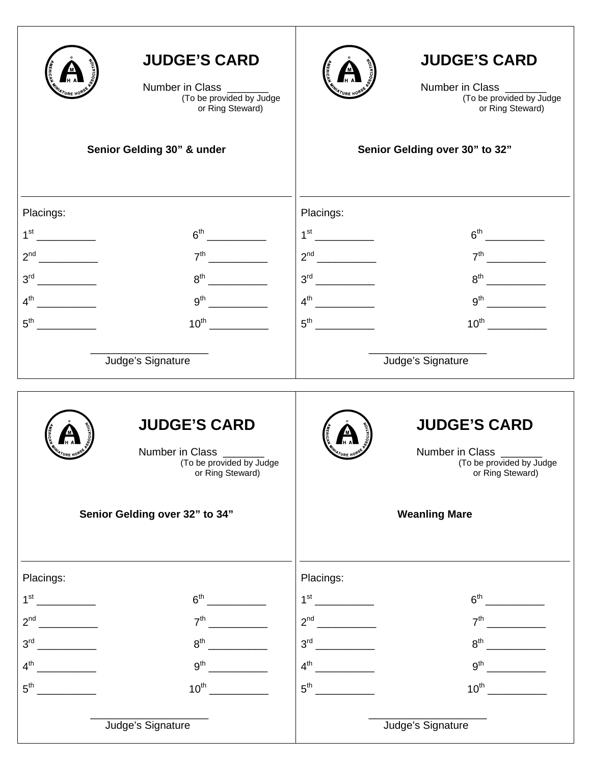|                 | <b>JUDGE'S CARD</b><br>Number in Class _______<br>(To be provided by Judge<br>or Ring Steward) |                 | <b>JUDGE'S CARD</b><br>Number in Class _______<br>(To be provided by Judge<br>or Ring Steward) |
|-----------------|------------------------------------------------------------------------------------------------|-----------------|------------------------------------------------------------------------------------------------|
|                 | Senior Gelding 30" & under                                                                     |                 | Senior Gelding over 30" to 32"                                                                 |
|                 |                                                                                                |                 |                                                                                                |
| Placings:       | 6 <sup>th</sup>                                                                                | Placings:       |                                                                                                |
|                 |                                                                                                |                 |                                                                                                |
|                 | $7^{\text{th}}$<br>$8^{\text{th}}$                                                             | $3^{\text{rd}}$ | $7^{\text{th}}$<br>$8^{th}$                                                                    |
|                 | 9 <sup>th</sup>                                                                                | $4^{th}$        |                                                                                                |
| $5^{\text{th}}$ | $10^{\text{th}}$                                                                               | $5^{\text{th}}$ | $10^{th}$                                                                                      |
|                 |                                                                                                |                 |                                                                                                |
|                 | Judge's Signature                                                                              |                 | Judge's Signature                                                                              |
|                 |                                                                                                |                 |                                                                                                |
|                 | <b>JUDGE'S CARD</b><br><b>Number in Class</b><br>(To be provided by Judge<br>or Ring Steward)  |                 | <b>JUDGE'S CARD</b><br><b>Number in Class</b><br>(To be provided by Judge<br>or Ring Steward)  |
|                 | Senior Gelding over 32" to 34"                                                                 |                 | <b>Weanling Mare</b>                                                                           |
| Placings:       |                                                                                                | Placings:       |                                                                                                |
| 1 <sup>st</sup> | $6^{\text{th}}$                                                                                | 1 <sup>st</sup> | 6 <sup>th</sup>                                                                                |
| 2 <sup>nd</sup> | 7 <sup>th</sup>                                                                                | 2 <sup>nd</sup> | 7 <sup>th</sup>                                                                                |
| 3 <sup>rd</sup> | 8 <sup>th</sup>                                                                                | 3 <sup>rd</sup> | $8^{\text{th}}$                                                                                |
| 4 <sup>th</sup> | 9 <sup>th</sup>                                                                                | $4^{\text{th}}$ | 9 <sup>th</sup>                                                                                |
| 5 <sup>th</sup> | $10^{\text{th}}$                                                                               | $5^{\text{th}}$ | $10^{\text{th}}$                                                                               |
|                 | Judge's Signature                                                                              |                 | Judge's Signature                                                                              |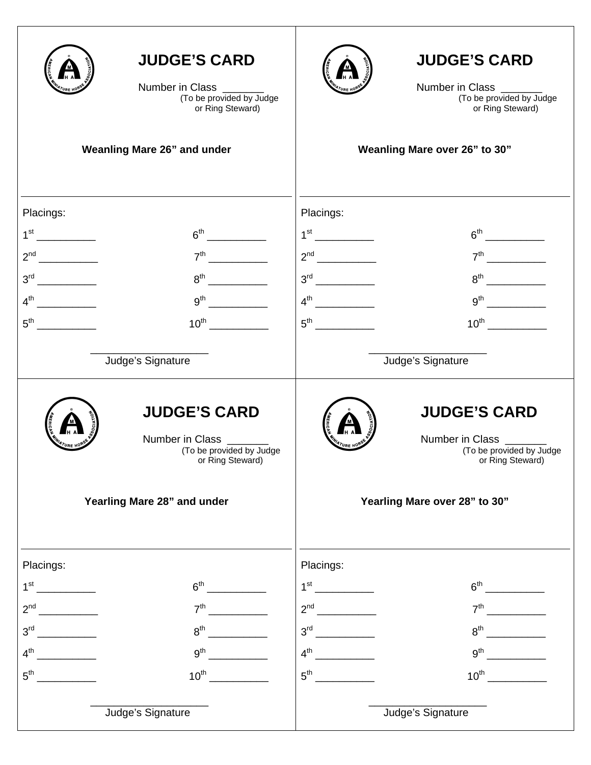|                                                                                                                                          | <b>JUDGE'S CARD</b><br>Number in Class ______<br>(To be provided by Judge<br>or Ring Steward)  |                 | <b>JUDGE'S CARD</b><br>Number in Class ______<br>(To be provided by Judge<br>or Ring Steward)                                            |
|------------------------------------------------------------------------------------------------------------------------------------------|------------------------------------------------------------------------------------------------|-----------------|------------------------------------------------------------------------------------------------------------------------------------------|
|                                                                                                                                          | Weanling Mare 26" and under                                                                    |                 | Weanling Mare over 26" to 30"                                                                                                            |
|                                                                                                                                          |                                                                                                |                 |                                                                                                                                          |
| Placings:                                                                                                                                |                                                                                                | Placings:       |                                                                                                                                          |
|                                                                                                                                          |                                                                                                |                 |                                                                                                                                          |
|                                                                                                                                          | 7 <sup>th</sup>                                                                                |                 |                                                                                                                                          |
| $4^{\text{th}}$<br>$\overline{\phantom{a}}$                                                                                              | $8^{\text{th}}$<br>9 <sup>th</sup>                                                             |                 |                                                                                                                                          |
| $5^{\text{th}}$<br><u>and a strong to the strong of the strong strong strong strong strong strong strong strong strong strong strong</u> |                                                                                                |                 | $10^{th}$                                                                                                                                |
|                                                                                                                                          |                                                                                                |                 |                                                                                                                                          |
|                                                                                                                                          | Judge's Signature                                                                              |                 | Judge's Signature                                                                                                                        |
|                                                                                                                                          | <b>JUDGE'S CARD</b><br>Number in Class _______<br>(To be provided by Judge<br>or Ring Steward) |                 | <b>JUDGE'S CARD</b><br>Number in Class _______<br>(To be provided by Judge<br>or Ring Steward)                                           |
|                                                                                                                                          | Yearling Mare 28" and under                                                                    |                 | Yearling Mare over 28" to 30"                                                                                                            |
| Placings:                                                                                                                                |                                                                                                | Placings:       |                                                                                                                                          |
| 1 <sup>st</sup>                                                                                                                          | 6 <sup>th</sup>                                                                                |                 |                                                                                                                                          |
| 2 <sup>nd</sup>                                                                                                                          | 7 <sup>th</sup>                                                                                |                 | 7 <sup>th</sup>                                                                                                                          |
| 3 <sup>rd</sup>                                                                                                                          | $8^{\text{th}}$                                                                                |                 | 8 <sup>th</sup><br><u>and a strong to the strong of the strong strong strong strong strong strong strong strong strong strong strong</u> |
| $4^{\text{th}}$                                                                                                                          | 9 <sup>th</sup>                                                                                | $4^{\text{th}}$ | 9 <sup>th</sup><br>$\overline{a}$                                                                                                        |
|                                                                                                                                          |                                                                                                |                 | $10^{th}$                                                                                                                                |
|                                                                                                                                          | Judge's Signature                                                                              |                 | Judge's Signature                                                                                                                        |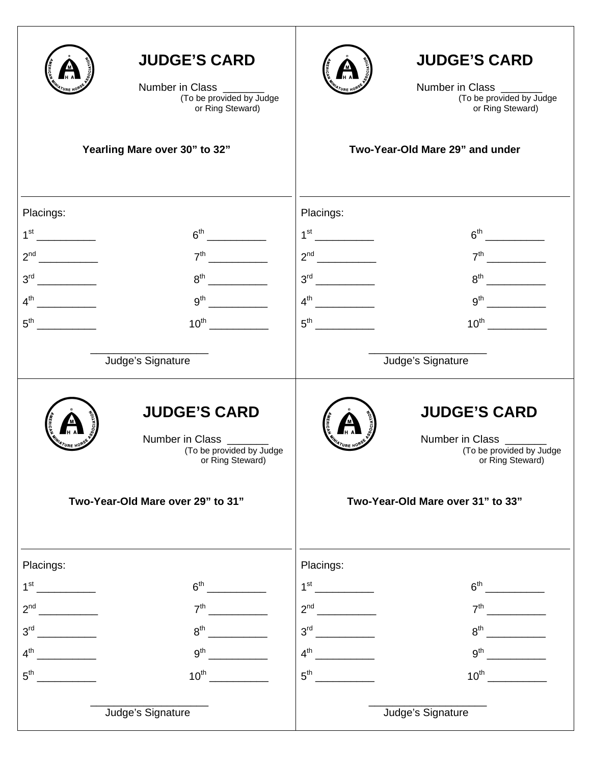|                                                                                                                                                                                                                                                         | <b>JUDGE'S CARD</b><br>Number in Class ______<br>(To be provided by Judge<br>or Ring Steward)<br>Yearling Mare over 30" to 32" |           | <b>JUDGE'S CARD</b><br>Number in Class _______<br>(To be provided by Judge<br>or Ring Steward)<br>Two-Year-Old Mare 29" and under |
|---------------------------------------------------------------------------------------------------------------------------------------------------------------------------------------------------------------------------------------------------------|--------------------------------------------------------------------------------------------------------------------------------|-----------|-----------------------------------------------------------------------------------------------------------------------------------|
|                                                                                                                                                                                                                                                         |                                                                                                                                |           |                                                                                                                                   |
|                                                                                                                                                                                                                                                         |                                                                                                                                |           |                                                                                                                                   |
| Placings:                                                                                                                                                                                                                                               |                                                                                                                                | Placings: |                                                                                                                                   |
|                                                                                                                                                                                                                                                         |                                                                                                                                |           |                                                                                                                                   |
| $3^{\text{rd}}$<br>$\overline{\phantom{a}}$                                                                                                                                                                                                             | $8^{\text{th}}$                                                                                                                |           |                                                                                                                                   |
|                                                                                                                                                                                                                                                         | $\overline{\phantom{a}}$<br>$9^{th}$                                                                                           |           |                                                                                                                                   |
|                                                                                                                                                                                                                                                         |                                                                                                                                |           |                                                                                                                                   |
|                                                                                                                                                                                                                                                         |                                                                                                                                |           |                                                                                                                                   |
|                                                                                                                                                                                                                                                         | Judge's Signature                                                                                                              |           | Judge's Signature                                                                                                                 |
|                                                                                                                                                                                                                                                         | <b>JUDGE'S CARD</b><br>Number in Class _______<br>(To be provided by Judge<br>or Ring Steward)                                 |           | <b>JUDGE'S CARD</b><br>Number in Class ______<br>(To be provided by Judge<br>or Ring Steward)                                     |
|                                                                                                                                                                                                                                                         | Two-Year-Old Mare over 29" to 31"                                                                                              |           | Two-Year-Old Mare over 31" to 33"                                                                                                 |
| Placings:                                                                                                                                                                                                                                               |                                                                                                                                | Placings: |                                                                                                                                   |
| 1 <sup>st</sup><br><u>and a strategic of the strategic of the strategic of the strategic of the strategic of the strategic of the strategic of the strategic of the strategic of the strategic of the strategic of the strategic of the strategic o</u> | 6 <sup>th</sup>                                                                                                                |           |                                                                                                                                   |
| 2 <sup>nd</sup>                                                                                                                                                                                                                                         | 7 <sup>th</sup>                                                                                                                |           | 7 <sup>th</sup>                                                                                                                   |
|                                                                                                                                                                                                                                                         | $8^{\text{th}}$                                                                                                                |           | $8^{\text{th}}$<br><u> 1999 - Jan Jawa</u>                                                                                        |
| $4^{\text{th}}$                                                                                                                                                                                                                                         |                                                                                                                                |           |                                                                                                                                   |
|                                                                                                                                                                                                                                                         | $10^{\text{th}}$                                                                                                               |           | $10^{th}$                                                                                                                         |
|                                                                                                                                                                                                                                                         | Judge's Signature                                                                                                              |           | Judge's Signature                                                                                                                 |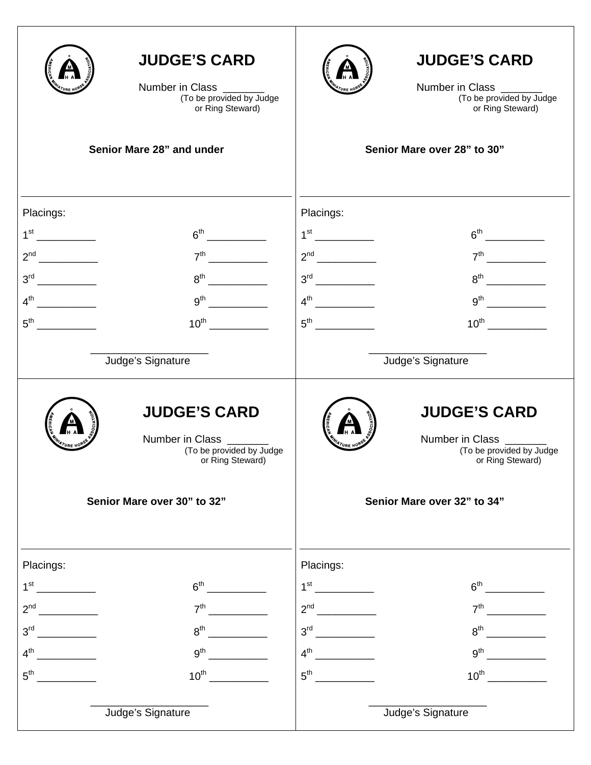|                                                          | <b>JUDGE'S CARD</b><br>Number in Class _____<br>(To be provided by Judge<br>or Ring Steward)<br>Senior Mare 28" and under |           | <b>JUDGE'S CARD</b><br>Number in Class ______<br>(To be provided by Judge<br>or Ring Steward)<br>Senior Mare over 28" to 30" |
|----------------------------------------------------------|---------------------------------------------------------------------------------------------------------------------------|-----------|------------------------------------------------------------------------------------------------------------------------------|
|                                                          |                                                                                                                           |           |                                                                                                                              |
| Placings:                                                |                                                                                                                           | Placings: |                                                                                                                              |
|                                                          |                                                                                                                           |           |                                                                                                                              |
|                                                          | 7 <sup>th</sup>                                                                                                           |           |                                                                                                                              |
|                                                          | $8^{\text{th}}$                                                                                                           |           | $8^{\text{th}}$                                                                                                              |
| 4 <sup>th</sup><br><u> a shekara ta 1999 a shekara t</u> | 9 <sup>th</sup>                                                                                                           |           | $9^{th}$                                                                                                                     |
|                                                          |                                                                                                                           |           |                                                                                                                              |
|                                                          | Judge's Signature                                                                                                         |           | Judge's Signature                                                                                                            |
|                                                          | <b>JUDGE'S CARD</b><br>Number in Class ______<br>(To be provided by Judge<br>or Ring Steward)                             |           | <b>JUDGE'S CARD</b><br>Number in Class ______<br>(To be provided by Judge<br>or Ring Steward)                                |
|                                                          | Senior Mare over 30" to 32"                                                                                               |           | Senior Mare over 32" to 34"                                                                                                  |
| Placings:                                                |                                                                                                                           | Placings: |                                                                                                                              |
| 1 <sup>st</sup>                                          | 6 <sup>th</sup>                                                                                                           |           |                                                                                                                              |
| 2 <sup>nd</sup>                                          | 7 <sup>th</sup>                                                                                                           |           | 7 <sup>th</sup>                                                                                                              |
| 3 <sup>rd</sup><br>$\sim$ $\sim$ $\sim$                  | 8 <sup>th</sup>                                                                                                           |           | 8 <sup>th</sup>                                                                                                              |
| $4^{\text{th}}$                                          | 9 <sup>th</sup>                                                                                                           |           |                                                                                                                              |
| $5^{\mathsf{th}}$                                        |                                                                                                                           |           | $10^{th}$                                                                                                                    |
|                                                          | Judge's Signature                                                                                                         |           | Judge's Signature                                                                                                            |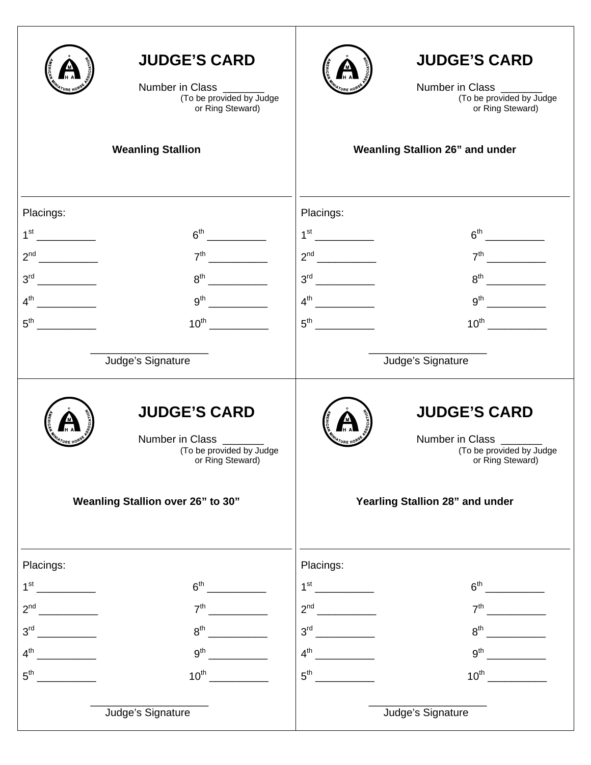|                                                                                        | <b>JUDGE'S CARD</b><br>Number in Class<br>(To be provided by Judge<br>or Ring Steward)<br><b>Weanling Stallion</b> |                 | <b>JUDGE'S CARD</b><br>Number in Class _____<br>(To be provided by Judge<br>or Ring Steward)<br><b>Weanling Stallion 26" and under</b> |
|----------------------------------------------------------------------------------------|--------------------------------------------------------------------------------------------------------------------|-----------------|----------------------------------------------------------------------------------------------------------------------------------------|
|                                                                                        |                                                                                                                    |                 |                                                                                                                                        |
| Placings:                                                                              |                                                                                                                    | Placings:       |                                                                                                                                        |
|                                                                                        |                                                                                                                    |                 |                                                                                                                                        |
|                                                                                        | $7^{\text{th}}$                                                                                                    |                 |                                                                                                                                        |
| $3^{\text{rd}}$                                                                        | 8 <sup>th</sup>                                                                                                    |                 | 8 <sup>th</sup>                                                                                                                        |
|                                                                                        |                                                                                                                    | $4^{\text{th}}$ | 9 <sup>th</sup>                                                                                                                        |
| $5^{\text{th}}$                                                                        | $10^{\text{th}}$                                                                                                   |                 |                                                                                                                                        |
|                                                                                        |                                                                                                                    |                 |                                                                                                                                        |
|                                                                                        | Judge's Signature                                                                                                  |                 | Judge's Signature                                                                                                                      |
|                                                                                        | <b>JUDGE'S CARD</b><br>Number in Class _______<br>(To be provided by Judge<br>or Ring Steward)                     |                 | <b>JUDGE'S CARD</b><br>Number in Class _______<br>(To be provided by Judge<br>or Ring Steward)                                         |
|                                                                                        | Weanling Stallion over 26" to 30"                                                                                  |                 | Yearling Stallion 28" and under                                                                                                        |
| Placings:                                                                              |                                                                                                                    | Placings:       |                                                                                                                                        |
|                                                                                        | 6 <sup>th</sup>                                                                                                    |                 |                                                                                                                                        |
| 2 <sup>nd</sup><br>$\overline{\phantom{a}}$                                            | 7 <sup>th</sup>                                                                                                    |                 |                                                                                                                                        |
| 3 <sup>rd</sup>                                                                        | 8 <sup>th</sup>                                                                                                    |                 | $8^{\text{th}}$                                                                                                                        |
| $4^{\text{th}}$<br>$\overline{\phantom{a}}$ . The contract of $\overline{\phantom{a}}$ | 9 <sup>th</sup>                                                                                                    | $4^{\text{th}}$ | 9 <sup>th</sup>                                                                                                                        |
| $5^{\text{th}}$                                                                        |                                                                                                                    |                 |                                                                                                                                        |
|                                                                                        | Judge's Signature                                                                                                  |                 | Judge's Signature                                                                                                                      |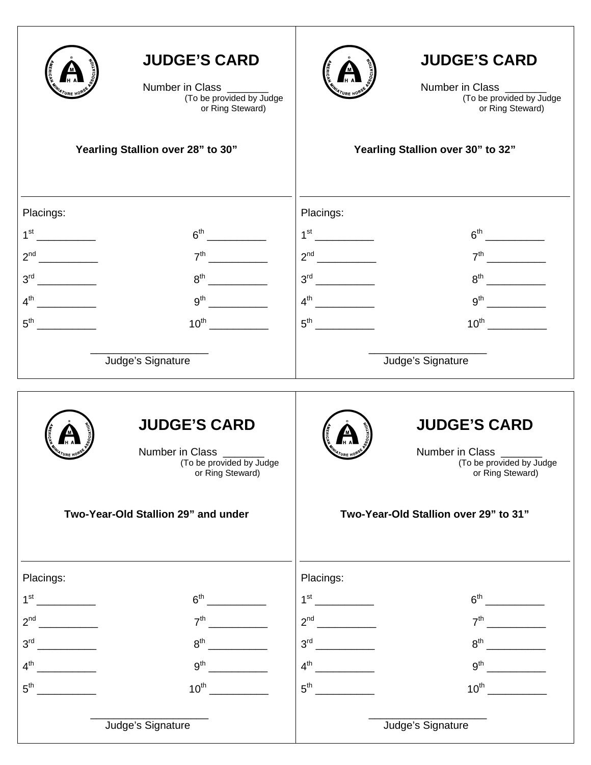|                                                                                                       | <b>JUDGE'S CARD</b><br>Number in Class _____<br>(To be provided by Judge<br>or Ring Steward)<br>Yearling Stallion over 28" to 30" | <b>JUDGE'S CARD</b><br>Number in Class ______<br>(To be provided by Judge<br>or Ring Steward)<br>Yearling Stallion over 30" to 32"                                                                      |  |
|-------------------------------------------------------------------------------------------------------|-----------------------------------------------------------------------------------------------------------------------------------|---------------------------------------------------------------------------------------------------------------------------------------------------------------------------------------------------------|--|
| Placings:<br>$5^{\text{th}}$                                                                          | 6 <sup>th</sup><br>7 <sup>th</sup><br>$8^{\text{th}}$<br>$9^{\text{th}}$<br>$10^{\text{th}}$<br>Judge's Signature                 | Placings:<br>$6^{th}$<br>$7th$ 2008<br>8 <sup>th</sup><br>$4^{th}$<br>$10^{th}$ $\qquad \qquad$<br>Judge's Signature                                                                                    |  |
|                                                                                                       | <b>JUDGE'S CARD</b><br>Number in Class<br>(To be provided by Judge<br>or Ring Steward)<br>Two-Year-Old Stallion 29" and under     | <b>JUDGE'S CARD</b><br>Number in Class<br>(To be provided by Judge<br>or Ring Steward)<br>Two-Year-Old Stallion over 29" to 31"                                                                         |  |
| Placings:<br>$1^{\rm st}$<br>2 <sup>nd</sup><br>3 <sup>rd</sup><br>$4^{\text{th}}$<br>5 <sup>th</sup> | 6 <sup>th</sup><br>7 <sup>th</sup><br>8 <sup>th</sup><br>9 <sup>th</sup><br>10 <sup>th</sup><br>Judge's Signature                 | Placings:<br>$1^{\rm st}$<br>6 <sup>th</sup><br>7 <sup>th</sup><br>3 <sup>rd</sup><br>$8^{\text{th}}$<br>4 <sup>th</sup><br>9 <sup>th</sup><br>$5^{\text{th}}$<br>$10^{\text{th}}$<br>Judge's Signature |  |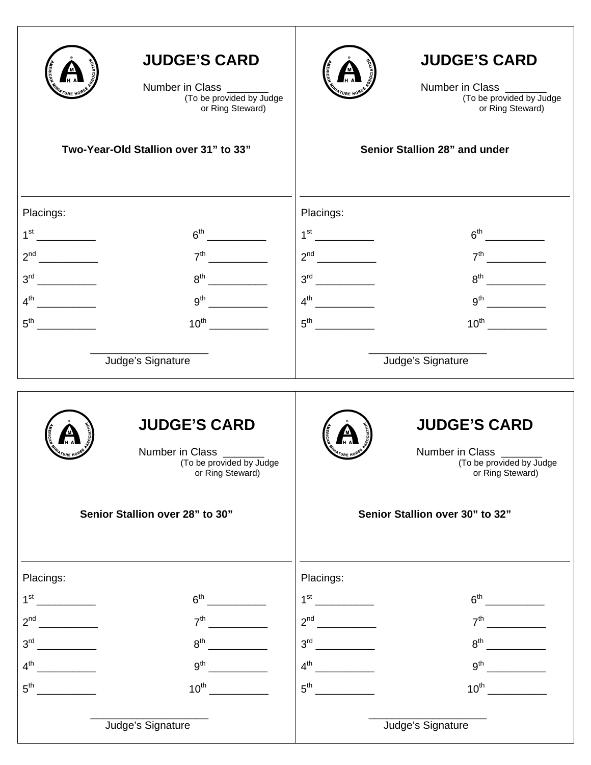|                                                                                                   | <b>JUDGE'S CARD</b><br>Number in Class ______<br>(To be provided by Judge<br>or Ring Steward)<br>Two-Year-Old Stallion over 31" to 33" | <b>JUDGE'S CARD</b><br>Number in Class _______<br>(To be provided by Judge<br>or Ring Steward)<br>Senior Stallion 28" and under                                                                                                                                            |  |
|---------------------------------------------------------------------------------------------------|----------------------------------------------------------------------------------------------------------------------------------------|----------------------------------------------------------------------------------------------------------------------------------------------------------------------------------------------------------------------------------------------------------------------------|--|
| Placings:<br>$4^{\text{th}}$ $\qquad \qquad$<br>$5^{\text{th}}$                                   | $7^{\text{th}}$<br>8 <sup>th</sup><br>9 <sup>th</sup><br>$10^{\text{th}}$<br>Judge's Signature                                         | Placings:<br>$7^{\text{th}}$<br>$8th$ and $8th$ and $8th$ and $8th$ and $8th$ and $8th$ and $8th$ and $8th$ and $8th$ and $8th$ and $8th$ and $8th$ and $8th$ and $8th$ and $8th$<br>$4^{th}$<br>$9^{th}$ 2007<br>$5^{\text{th}}$<br>$10^{\text{th}}$<br>Judge's Signature |  |
|                                                                                                   | <b>JUDGE'S CARD</b><br><b>Number in Class</b><br>(To be provided by Judge<br>or Ring Steward)<br>Senior Stallion over 28" to 30"       | <b>JUDGE'S CARD</b><br><b>Number in Class</b><br>(To be provided by Judge<br>or Ring Steward)<br>Senior Stallion over 30" to 32"                                                                                                                                           |  |
| Placings:<br>1 <sup>st</sup><br>$2^{nd}$<br>3 <sup>rd</sup><br>4 <sup>th</sup><br>5 <sup>th</sup> | 6 <sup>th</sup><br>7 <sup>th</sup><br>$8^{\text{th}}$<br>9 <sup>th</sup><br>$10^{\text{th}}$                                           | Placings:<br>$1^{\rm st}$<br>6 <sup>th</sup><br>$2^{nd}$<br>7 <sup>th</sup><br>3 <sup>rd</sup><br>8 <sup>th</sup><br>4 <sup>th</sup><br>9 <sup>th</sup><br>$10^{\text{th}}$<br>5 <sup>th</sup>                                                                             |  |
|                                                                                                   | Judge's Signature                                                                                                                      | Judge's Signature                                                                                                                                                                                                                                                          |  |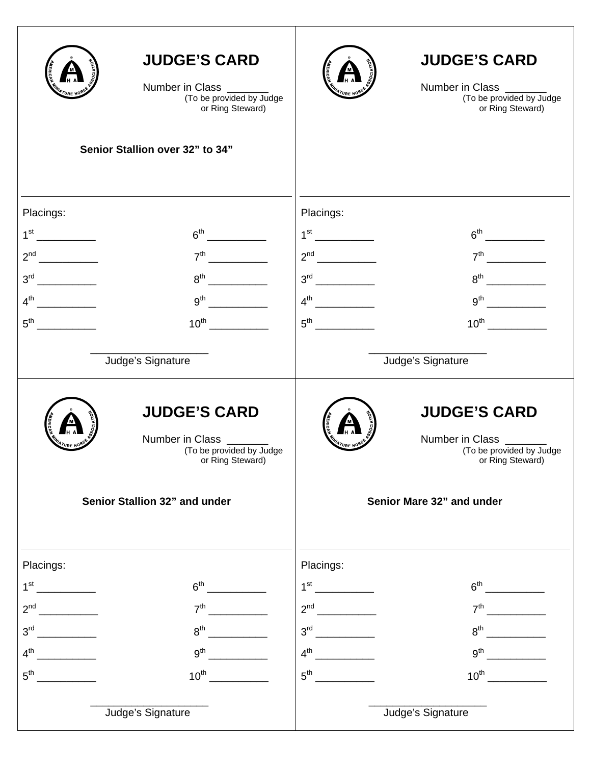|                                                                                                                                                                         | <b>JUDGE'S CARD</b><br>Number in Class<br>(To be provided by Judge<br>or Ring Steward)<br>Senior Stallion over 32" to 34"                     |                                                                                            | <b>JUDGE'S CARD</b><br>Number in Class _______<br>(To be provided by Judge<br>or Ring Steward)                              |
|-------------------------------------------------------------------------------------------------------------------------------------------------------------------------|-----------------------------------------------------------------------------------------------------------------------------------------------|--------------------------------------------------------------------------------------------|-----------------------------------------------------------------------------------------------------------------------------|
| Placings:<br>$5^{\text{th}}$                                                                                                                                            | 6 <sup>th</sup><br>7 <sup>th</sup><br>$8^{\text{th}}$<br>$\overline{\phantom{a}}$<br>9 <sup>th</sup><br>$10^{\text{th}}$<br>Judge's Signature | Placings:<br>$4^{th}$<br>$5^{\text{th}}$                                                   | $10^{\text{th}}$<br>Judge's Signature                                                                                       |
|                                                                                                                                                                         | <b>JUDGE'S CARD</b><br>Number in Class ______<br>(To be provided by Judge<br>or Ring Steward)<br>Senior Stallion 32" and under                |                                                                                            | <b>JUDGE'S CARD</b><br>Number in Class _______<br>(To be provided by Judge<br>or Ring Steward)<br>Senior Mare 32" and under |
| Placings:<br>1 <sup>st</sup><br>2 <sup>nd</sup><br>$\overline{\phantom{a}}$<br>3 <sup>rd</sup><br>4 <sup>th</sup><br>$\frac{1}{2}$ and $\frac{1}{2}$<br>5 <sup>th</sup> | 6 <sup>th</sup><br>7 <sup>th</sup><br>$8^{\text{th}}$<br>9 <sup>th</sup><br>$10^{\text{th}}$                                                  | Placings:<br>$1^{\text{st}}$<br>$2^{nd}$<br>$3^{\text{rd}}$<br>$4^{th}$<br>5 <sup>th</sup> | 8 <sup>th</sup><br>$10^{\text{th}}$                                                                                         |
|                                                                                                                                                                         | Judge's Signature                                                                                                                             |                                                                                            | Judge's Signature                                                                                                           |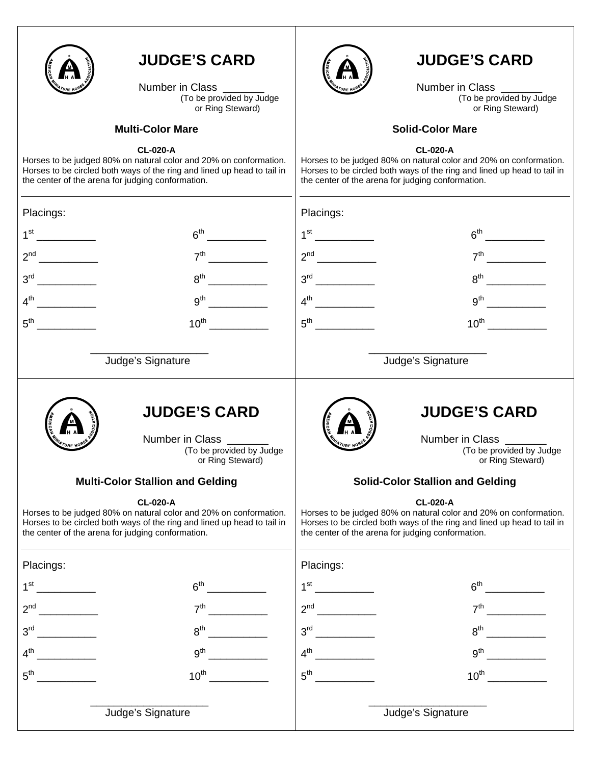

Number in Class<br>(To be provided by Judge or Ring Steward)

### **Multi-Color Mare**

### **CL-020-A**

Horses to be judged 80% on natural color and 20% on conformation. Horses to be circled both ways of the ring and lined up head to tail in the center of the arena for judging conformation.



# **JUDGE'S CARD**

Number in Class<br>(To be provided by Judge or Ring Steward)

### **Solid-Color Mare**

### **CL-020-A**

Horses to be judged 80% on natural color and 20% on conformation. Horses to be circled both ways of the ring and lined up head to tail in the center of the arena for judging conformation.

| Placings:                                         |                                                                                                                                                                 | Placings:                                                                                                                                                                                                            |                                                                                               |
|---------------------------------------------------|-----------------------------------------------------------------------------------------------------------------------------------------------------------------|----------------------------------------------------------------------------------------------------------------------------------------------------------------------------------------------------------------------|-----------------------------------------------------------------------------------------------|
| $1^{\rm st}$                                      |                                                                                                                                                                 |                                                                                                                                                                                                                      |                                                                                               |
| 2 <sup>nd</sup>                                   | 7 <sup>th</sup>                                                                                                                                                 |                                                                                                                                                                                                                      | 7 <sup>th</sup>                                                                               |
| 3 <sup>rd</sup><br>$\overline{\phantom{a}}$       | 8 <sup>th</sup>                                                                                                                                                 |                                                                                                                                                                                                                      | $8^{\text{th}}$                                                                               |
|                                                   | $9^{\text{th}}$                                                                                                                                                 |                                                                                                                                                                                                                      |                                                                                               |
|                                                   | $10^{\text{th}}$                                                                                                                                                |                                                                                                                                                                                                                      | $10^{th}$ $\qquad \qquad$                                                                     |
|                                                   | Judge's Signature                                                                                                                                               |                                                                                                                                                                                                                      | Judge's Signature                                                                             |
|                                                   | <b>JUDGE'S CARD</b><br>Number in Class _______<br>(To be provided by Judge<br>or Ring Steward)                                                                  |                                                                                                                                                                                                                      | <b>JUDGE'S CARD</b><br>Number in Class ______<br>(To be provided by Judge<br>or Ring Steward) |
|                                                   | <b>Multi-Color Stallion and Gelding</b>                                                                                                                         | <b>Solid-Color Stallion and Gelding</b>                                                                                                                                                                              |                                                                                               |
| the center of the arena for judging conformation. | <b>CL-020-A</b><br>Horses to be judged 80% on natural color and 20% on conformation.<br>Horses to be circled both ways of the ring and lined up head to tail in | <b>CL-020-A</b><br>Horses to be judged 80% on natural color and 20% on conformation.<br>Horses to be circled both ways of the ring and lined up head to tail in<br>the center of the arena for judging conformation. |                                                                                               |
| Placings:                                         |                                                                                                                                                                 | Placings:                                                                                                                                                                                                            |                                                                                               |
| 1 <sup>st</sup>                                   | 6 <sup>th</sup>                                                                                                                                                 |                                                                                                                                                                                                                      | 6 <sup>th</sup>                                                                               |
| 2 <sup>nd</sup>                                   | 7 <sup>th</sup>                                                                                                                                                 |                                                                                                                                                                                                                      | 7 <sup>th</sup>                                                                               |
| 3 <sup>rd</sup>                                   | 8 <sup>th</sup>                                                                                                                                                 | 3 <sup>rd</sup>                                                                                                                                                                                                      | 8 <sup>th</sup>                                                                               |
| 4 <sup>th</sup>                                   | 9 <sup>th</sup>                                                                                                                                                 | 4 <sup>th</sup>                                                                                                                                                                                                      | 9 <sup>th</sup>                                                                               |
| $5^{\text{th}}$                                   | $10^{\text{th}}$                                                                                                                                                | $5^{\text{th}}$                                                                                                                                                                                                      | $10^{\text{th}}$                                                                              |
|                                                   | Judge's Signature                                                                                                                                               |                                                                                                                                                                                                                      | Judge's Signature                                                                             |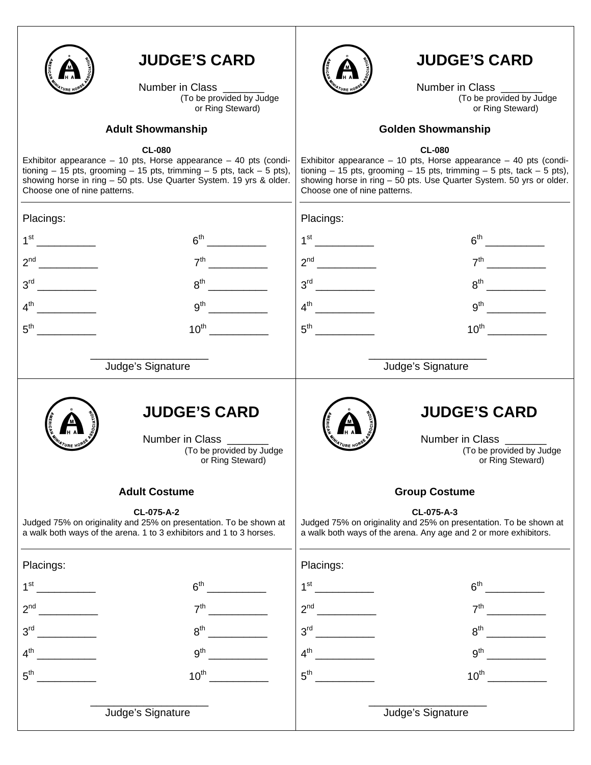| <b>JUDGE'S CARD</b>                                                       | <b>JUDGE'S CARD</b>                                                       |
|---------------------------------------------------------------------------|---------------------------------------------------------------------------|
| Number in Class _______                                                   | Number in Class _______                                                   |
| (To be provided by Judge                                                  | (To be provided by Judge                                                  |
| or Ring Steward)                                                          | or Ring Steward)                                                          |
| <b>Adult Showmanship</b>                                                  | <b>Golden Showmanship</b>                                                 |
| <b>CL-080</b>                                                             | <b>CL-080</b>                                                             |
| Exhibitor appearance $-10$ pts, Horse appearance $-40$ pts (condi-        | Exhibitor appearance $-10$ pts, Horse appearance $-40$ pts (condi-        |
| tioning $-15$ pts, grooming $-15$ pts, trimming $-5$ pts, tack $-5$ pts), | tioning $-15$ pts, grooming $-15$ pts, trimming $-5$ pts, tack $-5$ pts), |
| showing horse in ring - 50 pts. Use Quarter System. 19 yrs & older.       | showing horse in ring - 50 pts. Use Quarter System. 50 yrs or older.      |
| Choose one of nine patterns.                                              | Choose one of nine patterns.                                              |
| Placings:<br>7 <sup>th</sup><br>$8^{\text{th}}$<br>Judge's Signature      | Placings:<br>7 <sup>th</sup><br>$5^{\text{th}}$<br>Judge's Signature      |
| <b>JUDGE'S CARD</b>                                                       | <b>JUDGE'S CARD</b>                                                       |
| Number in Class                                                           | Number in Class                                                           |
| (To be provided by Judge                                                  | (To be provided by Judge                                                  |
| or Ring Steward)                                                          | or Ring Steward)                                                          |
| <b>Adult Costume</b>                                                      | <b>Group Costume</b>                                                      |
| CL-075-A-2                                                                | CL-075-A-3                                                                |
| Judged 75% on originality and 25% on presentation. To be shown at         | Judged 75% on originality and 25% on presentation. To be shown at         |
| a walk both ways of the arena. 1 to 3 exhibitors and 1 to 3 horses.       | a walk both ways of the arena. Any age and 2 or more exhibitors.          |
| Placings:                                                                 | Placings:                                                                 |
| 1 <sup>st</sup>                                                           | 6 <sup>th</sup>                                                           |
| 6 <sup>th</sup>                                                           | $1^{\rm st}$                                                              |
| 2 <sup>nd</sup>                                                           | 2 <sup>nd</sup>                                                           |
| 7 <sup>th</sup>                                                           | 7 <sup>th</sup>                                                           |
| 3 <sup>rd</sup>                                                           | 3 <sup>rd</sup>                                                           |
| 8 <sup>th</sup>                                                           | $8^{\text{th}}$                                                           |
| $4^{\text{th}}$                                                           | $4^{\text{th}}$                                                           |
| 9 <sup>th</sup>                                                           | $9^{\text{th}}$                                                           |
| 5 <sup>th</sup>                                                           | $10^{\text{th}}$                                                          |
| $10^{th}$                                                                 | $5^{\text{th}}$                                                           |
| Judge's Signature                                                         | Judge's Signature                                                         |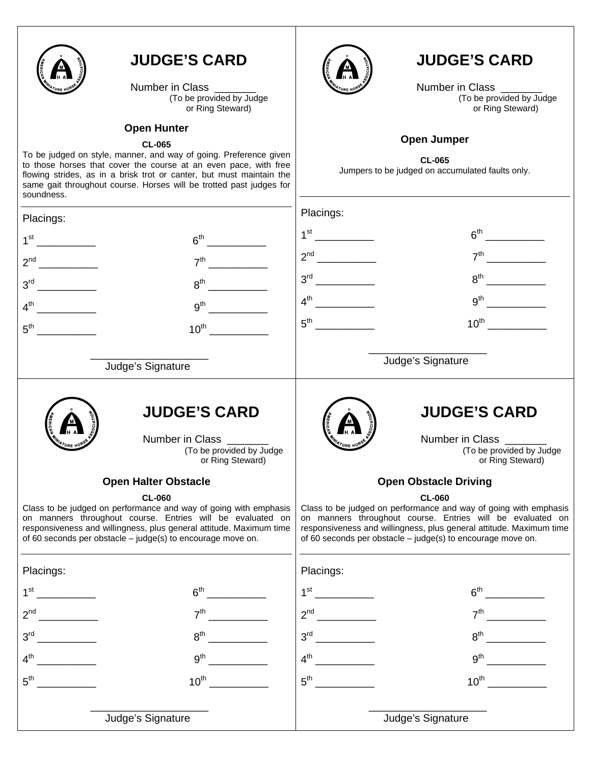

Number in Class<br>(To be provided by Judge or Ring Steward)

### **Open Hunter**

#### **CL-065**

To be judged on style, manner, and way of going. Preference given to those horses that cover the course at an even pace, with free flowing strides, as in a brisk trot or canter, but must maintain the same gait throughout course. Horses will be trotted past judges for soundness.



## **JUDGE'S CARD**

Number in Class<br>(To be provided by Judge or Ring Steward)

### **Open Jumper**

**CL-065**  Jumpers to be judged on accumulated faults only.

|                                                                                                                                                                                                                                                                                       | Placings:       |                                                                                                                                                                                                                                                                                       |
|---------------------------------------------------------------------------------------------------------------------------------------------------------------------------------------------------------------------------------------------------------------------------------------|-----------------|---------------------------------------------------------------------------------------------------------------------------------------------------------------------------------------------------------------------------------------------------------------------------------------|
| 6 <sup>th</sup>                                                                                                                                                                                                                                                                       |                 |                                                                                                                                                                                                                                                                                       |
| 7 <sup>th</sup>                                                                                                                                                                                                                                                                       |                 |                                                                                                                                                                                                                                                                                       |
| $8^{\text{th}}$                                                                                                                                                                                                                                                                       |                 | $8^{\text{th}}$                                                                                                                                                                                                                                                                       |
| 9 <sup>th</sup>                                                                                                                                                                                                                                                                       | $4^{\text{th}}$ | $9th$ and $9th$ and $9th$ and $9th$ and $9th$ and $9th$ and $9th$ and $9th$ and $9th$ and $9th$ and $9th$ and $9th$ and $9th$ and $9th$ and $9th$                                                                                                                                     |
| $10^{\text{th}}$                                                                                                                                                                                                                                                                      | $5^{\text{th}}$ | $10^{\text{th}}$                                                                                                                                                                                                                                                                      |
| Judge's Signature                                                                                                                                                                                                                                                                     |                 | Judge's Signature                                                                                                                                                                                                                                                                     |
| <b>JUDGE'S CARD</b><br>Number in Class _______<br>(To be provided by Judge<br>or Ring Steward)                                                                                                                                                                                        |                 | <b>JUDGE'S CARD</b><br>Number in Class _______<br>(To be provided by Judge<br>or Ring Steward)                                                                                                                                                                                        |
| <b>Open Halter Obstacle</b>                                                                                                                                                                                                                                                           |                 | <b>Open Obstacle Driving</b>                                                                                                                                                                                                                                                          |
| <b>CL-060</b><br>Class to be judged on performance and way of going with emphasis<br>on manners throughout course. Entries will be evaluated on<br>responsiveness and willingness, plus general attitude. Maximum time<br>of 60 seconds per obstacle - judge(s) to encourage move on. |                 | <b>CL-060</b><br>Class to be judged on performance and way of going with emphasis<br>on manners throughout course. Entries will be evaluated on<br>responsiveness and willingness, plus general attitude. Maximum time<br>of 60 seconds per obstacle - judge(s) to encourage move on. |
|                                                                                                                                                                                                                                                                                       | Placings:       |                                                                                                                                                                                                                                                                                       |
| 6 <sup>th</sup>                                                                                                                                                                                                                                                                       | $1^{\rm st}$    | 6 <sup>th</sup>                                                                                                                                                                                                                                                                       |
| 7 <sup>th</sup>                                                                                                                                                                                                                                                                       | 2 <sup>nd</sup> | 7 <sup>th</sup>                                                                                                                                                                                                                                                                       |
| 8 <sup>th</sup>                                                                                                                                                                                                                                                                       | 3 <sup>rd</sup> | 8 <sup>th</sup>                                                                                                                                                                                                                                                                       |
| 9 <sup>th</sup>                                                                                                                                                                                                                                                                       | 4 <sup>th</sup> | 9 <sup>th</sup>                                                                                                                                                                                                                                                                       |
| 10 <sup>th</sup>                                                                                                                                                                                                                                                                      | 5 <sup>th</sup> | $10^{\text{th}}$                                                                                                                                                                                                                                                                      |
| Judge's Signature                                                                                                                                                                                                                                                                     |                 | Judge's Signature                                                                                                                                                                                                                                                                     |
|                                                                                                                                                                                                                                                                                       |                 |                                                                                                                                                                                                                                                                                       |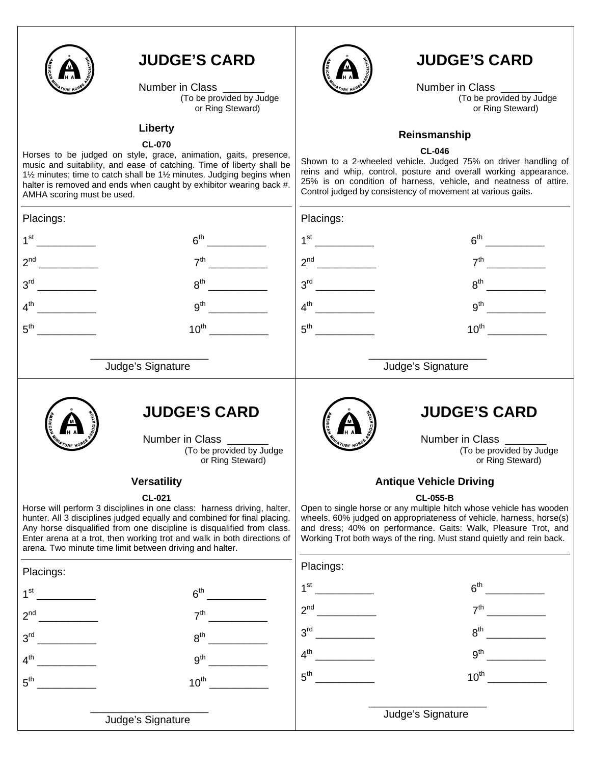

Number in Class<br>(To be provided by Judge or Ring Steward)

### **Liberty**

### **CL-070**

Horses to be judged on style, grace, animation, gaits, presence, music and suitability, and ease of catching. Time of liberty shall be 1½ minutes; time to catch shall be 1½ minutes. Judging begins when halter is removed and ends when caught by exhibitor wearing back #. AMHA scoring must be used.



## **JUDGE'S CARD**

Number in Class<br>(To be provided by Judge or Ring Steward)

### **Reinsmanship**

#### **CL-046**

Shown to a 2-wheeled vehicle. Judged 75% on driver handling of reins and whip, control, posture and overall working appearance. 25% is on condition of harness, vehicle, and neatness of attire. Control judged by consistency of movement at various gaits.

| Placings:       |                                                                                                                                                                                                                                                                                                                                                                                       | Placings:                                                                                                                                                                                                                                               |                                                                                                                                                                                                                                                                                                          |  |
|-----------------|---------------------------------------------------------------------------------------------------------------------------------------------------------------------------------------------------------------------------------------------------------------------------------------------------------------------------------------------------------------------------------------|---------------------------------------------------------------------------------------------------------------------------------------------------------------------------------------------------------------------------------------------------------|----------------------------------------------------------------------------------------------------------------------------------------------------------------------------------------------------------------------------------------------------------------------------------------------------------|--|
|                 | 6 <sup>th</sup>                                                                                                                                                                                                                                                                                                                                                                       |                                                                                                                                                                                                                                                         |                                                                                                                                                                                                                                                                                                          |  |
| 2 <sup>nd</sup> | 7 <sup>th</sup>                                                                                                                                                                                                                                                                                                                                                                       |                                                                                                                                                                                                                                                         |                                                                                                                                                                                                                                                                                                          |  |
| 3 <sup>rd</sup> | 8 <sup>th</sup>                                                                                                                                                                                                                                                                                                                                                                       | 3 <sup>rd</sup><br><u>and the state of the state of the state of the state of the state of the state of the state of the state of the state of the state of the state of the state of the state of the state of the state of the state of the state</u> | $8th$ and $\overline{\phantom{a}}$                                                                                                                                                                                                                                                                       |  |
| 4 <sup>th</sup> | 9 <sup>th</sup>                                                                                                                                                                                                                                                                                                                                                                       | 4 <sup>th</sup>                                                                                                                                                                                                                                         |                                                                                                                                                                                                                                                                                                          |  |
| 5 <sup>th</sup> | $10^{th}$                                                                                                                                                                                                                                                                                                                                                                             | $5^{\text{th}}$                                                                                                                                                                                                                                         | $10^{\text{th}}$                                                                                                                                                                                                                                                                                         |  |
|                 | Judge's Signature                                                                                                                                                                                                                                                                                                                                                                     |                                                                                                                                                                                                                                                         | Judge's Signature                                                                                                                                                                                                                                                                                        |  |
|                 | <b>JUDGE'S CARD</b><br>Number in Class ____<br>(To be provided by Judge<br>or Ring Steward)                                                                                                                                                                                                                                                                                           |                                                                                                                                                                                                                                                         | <b>JUDGE'S CARD</b><br>Number in Class ____<br>(To be provided by Judge<br>or Ring Steward)                                                                                                                                                                                                              |  |
|                 | <b>Versatility</b>                                                                                                                                                                                                                                                                                                                                                                    |                                                                                                                                                                                                                                                         | <b>Antique Vehicle Driving</b>                                                                                                                                                                                                                                                                           |  |
|                 | <b>CL-021</b><br>Horse will perform 3 disciplines in one class: harness driving, halter,<br>hunter. All 3 disciplines judged equally and combined for final placing.<br>Any horse disqualified from one discipline is disqualified from class.<br>Enter arena at a trot, then working trot and walk in both directions of<br>arena. Two minute time limit between driving and halter. |                                                                                                                                                                                                                                                         | <b>CL-055-B</b><br>Open to single horse or any multiple hitch whose vehicle has wooden<br>wheels. 60% judged on appropriateness of vehicle, harness, horse(s)<br>and dress; 40% on performance. Gaits: Walk, Pleasure Trot, and<br>Working Trot both ways of the ring. Must stand quietly and rein back. |  |
| Placings:       |                                                                                                                                                                                                                                                                                                                                                                                       | Placings:                                                                                                                                                                                                                                               |                                                                                                                                                                                                                                                                                                          |  |
| 1 <sup>st</sup> | 6 <sup>th</sup>                                                                                                                                                                                                                                                                                                                                                                       | $1^{\rm st}$                                                                                                                                                                                                                                            |                                                                                                                                                                                                                                                                                                          |  |
| 2 <sup>nd</sup> | 7 <sup>th</sup>                                                                                                                                                                                                                                                                                                                                                                       | 2 <sup>nd</sup>                                                                                                                                                                                                                                         | 7 <sup>th</sup>                                                                                                                                                                                                                                                                                          |  |
| 3 <sup>rd</sup> | $8^{\text{th}}$                                                                                                                                                                                                                                                                                                                                                                       | 2rd                                                                                                                                                                                                                                                     | $R^{th}$                                                                                                                                                                                                                                                                                                 |  |
| 4 <sup>th</sup> | 9 <sup>th</sup>                                                                                                                                                                                                                                                                                                                                                                       | 4 <sup>th</sup>                                                                                                                                                                                                                                         | 9 <sup>th</sup>                                                                                                                                                                                                                                                                                          |  |
| $5^{\text{th}}$ | $10^{th}$                                                                                                                                                                                                                                                                                                                                                                             | $5^{\text{th}}$                                                                                                                                                                                                                                         | $10^{th}$                                                                                                                                                                                                                                                                                                |  |
|                 | Judge's Signature                                                                                                                                                                                                                                                                                                                                                                     |                                                                                                                                                                                                                                                         | Judge's Signature                                                                                                                                                                                                                                                                                        |  |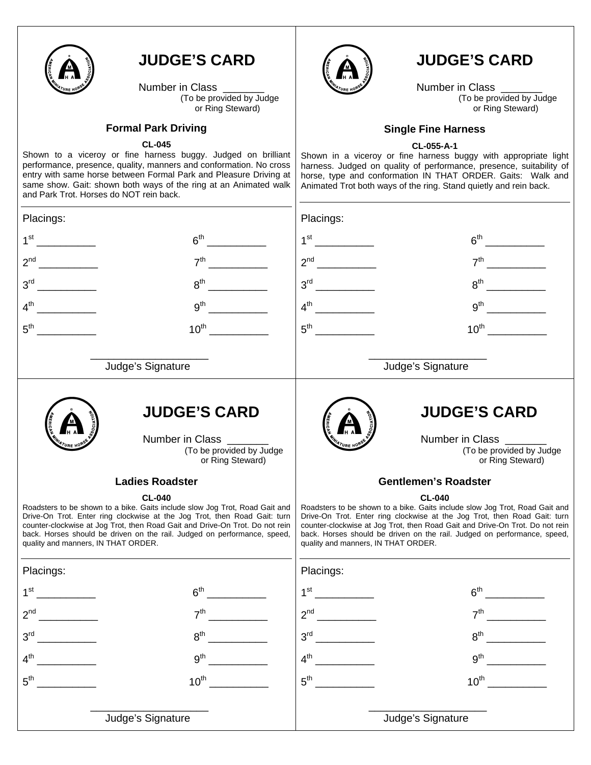

Number in Class<br>(To be provided by Judge or Ring Steward)

### **Formal Park Driving**

### **CL-045**

Shown to a viceroy or fine harness buggy. Judged on brilliant performance, presence, quality, manners and conformation. No cross entry with same horse between Formal Park and Pleasure Driving at same show. Gait: shown both ways of the ring at an Animated walk and Park Trot. Horses do NOT rein back.



## **JUDGE'S CARD**

Number in Class<br>(To be provided by Judge or Ring Steward)

### **Single Fine Harness**

#### **CL-055-A-1**

Shown in a viceroy or fine harness buggy with appropriate light harness. Judged on quality of performance, presence, suitability of horse, type and conformation IN THAT ORDER. Gaits: Walk and Animated Trot both ways of the ring. Stand quietly and rein back.

|                                                                  | Placings:                                                |                                                                                                                                                                                                                                                                                                                                                                              |  |
|------------------------------------------------------------------|----------------------------------------------------------|------------------------------------------------------------------------------------------------------------------------------------------------------------------------------------------------------------------------------------------------------------------------------------------------------------------------------------------------------------------------------|--|
| 6 <sup>th</sup>                                                  |                                                          |                                                                                                                                                                                                                                                                                                                                                                              |  |
|                                                                  |                                                          |                                                                                                                                                                                                                                                                                                                                                                              |  |
| $8^{\text{th}}$                                                  |                                                          |                                                                                                                                                                                                                                                                                                                                                                              |  |
| 9 <sup>th</sup>                                                  | $4^{\text{th}}$                                          |                                                                                                                                                                                                                                                                                                                                                                              |  |
| $10^{th}$                                                        | $5^{\text{th}}$                                          | $10^{\text{th}}$                                                                                                                                                                                                                                                                                                                                                             |  |
|                                                                  |                                                          | Judge's Signature                                                                                                                                                                                                                                                                                                                                                            |  |
| <b>JUDGE'S CARD</b><br>Number in Class _____<br>or Ring Steward) |                                                          | <b>JUDGE'S CARD</b><br>Number in Class _____<br>(To be provided by Judge<br>or Ring Steward)                                                                                                                                                                                                                                                                                 |  |
| <b>Ladies Roadster</b>                                           |                                                          | <b>Gentlemen's Roadster</b>                                                                                                                                                                                                                                                                                                                                                  |  |
| <b>CL-040</b>                                                    |                                                          | <b>CL-040</b><br>Roadsters to be shown to a bike. Gaits include slow Jog Trot, Road Gait and<br>Drive-On Trot. Enter ring clockwise at the Jog Trot, then Road Gait: turn<br>counter-clockwise at Jog Trot, then Road Gait and Drive-On Trot. Do not rein<br>back. Horses should be driven on the rail. Judged on performance, speed,<br>quality and manners, IN THAT ORDER. |  |
|                                                                  | Placings:                                                |                                                                                                                                                                                                                                                                                                                                                                              |  |
| 6 <sup>th</sup>                                                  |                                                          |                                                                                                                                                                                                                                                                                                                                                                              |  |
| 7 <sup>th</sup>                                                  | $2^{nd}$                                                 | 7 <sup>th</sup>                                                                                                                                                                                                                                                                                                                                                              |  |
| $8^{\text{th}}$                                                  | 3 <sup>rd</sup>                                          | $8^{\text{th}}$                                                                                                                                                                                                                                                                                                                                                              |  |
| 9 <sup>th</sup>                                                  | 4 <sup>th</sup>                                          | 9 <sup>th</sup>                                                                                                                                                                                                                                                                                                                                                              |  |
| $10^{th}$                                                        | $5^{\text{th}}$                                          | $10^{th}$                                                                                                                                                                                                                                                                                                                                                                    |  |
| Judge's Signature                                                |                                                          | Judge's Signature                                                                                                                                                                                                                                                                                                                                                            |  |
|                                                                  | Judge's Signature<br>quality and manners, IN THAT ORDER. | (To be provided by Judge<br>Roadsters to be shown to a bike. Gaits include slow Jog Trot, Road Gait and<br>Drive-On Trot. Enter ring clockwise at the Jog Trot, then Road Gait: turn<br>counter-clockwise at Jog Trot, then Road Gait and Drive-On Trot. Do not rein<br>back. Horses should be driven on the rail. Judged on performance, speed,                             |  |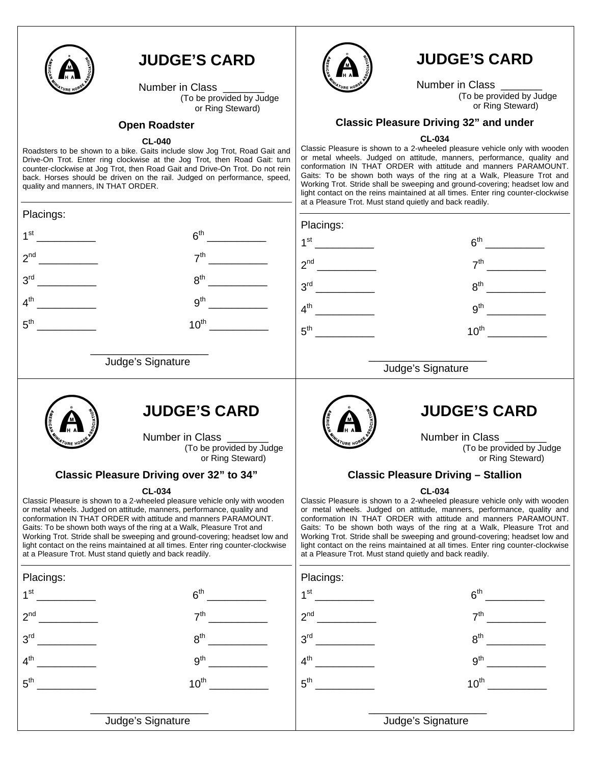

Number in Class<br>(To be provided by Judge or Ring Steward)

### **Open Roadster**

#### **CL-040**

Roadsters to be shown to a bike. Gaits include slow Jog Trot, Road Gait and Drive-On Trot. Enter ring clockwise at the Jog Trot, then Road Gait: turn counter-clockwise at Jog Trot, then Road Gait and Drive-On Trot. Do not rein back. Horses should be driven on the rail. Judged on performance, speed, quality and manners, IN THAT ORDER.



## **JUDGE'S CARD**

Number in Class<br>(To be provided by Judge or Ring Steward)

## **Classic Pleasure Driving 32" and under**

**CL-034** 

Classic Pleasure is shown to a 2-wheeled pleasure vehicle only with wooden or metal wheels. Judged on attitude, manners, performance, quality and conformation IN THAT ORDER with attitude and manners PARAMOUNT. Gaits: To be shown both ways of the ring at a Walk, Pleasure Trot and Working Trot. Stride shall be sweeping and ground-covering; headset low and light contact on the reins maintained at all times. Enter ring counter-clockwise at a Pleasure Trot. Must stand quietly and back readily.

| Placings:                                                                                                                                                                                                                                                                                                                                                                                                                                |                                                                                                                                                                                                                                                                                                                                                                                                                                                                                                                                                  |                 | at a Fleasure TTOL Must startu quietly and back readily.                                                                                                                                                                                                                                                                                                                                                                                                                                                                                         |
|------------------------------------------------------------------------------------------------------------------------------------------------------------------------------------------------------------------------------------------------------------------------------------------------------------------------------------------------------------------------------------------------------------------------------------------|--------------------------------------------------------------------------------------------------------------------------------------------------------------------------------------------------------------------------------------------------------------------------------------------------------------------------------------------------------------------------------------------------------------------------------------------------------------------------------------------------------------------------------------------------|-----------------|--------------------------------------------------------------------------------------------------------------------------------------------------------------------------------------------------------------------------------------------------------------------------------------------------------------------------------------------------------------------------------------------------------------------------------------------------------------------------------------------------------------------------------------------------|
|                                                                                                                                                                                                                                                                                                                                                                                                                                          |                                                                                                                                                                                                                                                                                                                                                                                                                                                                                                                                                  | Placings:       |                                                                                                                                                                                                                                                                                                                                                                                                                                                                                                                                                  |
| 1 <sup>st</sup>                                                                                                                                                                                                                                                                                                                                                                                                                          | 6 <sup>th</sup>                                                                                                                                                                                                                                                                                                                                                                                                                                                                                                                                  |                 |                                                                                                                                                                                                                                                                                                                                                                                                                                                                                                                                                  |
| 2 <sup>nd</sup><br>$\frac{1}{\frac{1}{1-\frac{1}{1-\frac{1}{1-\frac{1}{1-\frac{1}{1-\frac{1}{1-\frac{1}{1-\frac{1}{1-\frac{1}{1-\frac{1}{1-\frac{1}{1-\frac{1}{1-\frac{1}{1-\frac{1}{1-\frac{1}{1-\frac{1}{1-\frac{1}{1-\frac{1}{1-\frac{1}{1-\frac{1}{1-\frac{1}{1-\frac{1}{1-\frac{1}{1-\frac{1}{1-\frac{1}{1-\frac{1}{1-\frac{1}{1-\frac{1}{1-\frac{1}{1-\frac{1}{1-\frac{1}{1-\frac{1}{1-\frac{1}{1-\frac{1}{1-\frac{1}{1-\frac{1}{$ | 7 <sup>th</sup>                                                                                                                                                                                                                                                                                                                                                                                                                                                                                                                                  |                 | 7 <sup>th</sup>                                                                                                                                                                                                                                                                                                                                                                                                                                                                                                                                  |
| 3 <sup>rd</sup>                                                                                                                                                                                                                                                                                                                                                                                                                          | 8 <sup>th</sup>                                                                                                                                                                                                                                                                                                                                                                                                                                                                                                                                  |                 | $8^{\text{th}}$<br><u> 1999 - Jan Jawa</u>                                                                                                                                                                                                                                                                                                                                                                                                                                                                                                       |
| $4^{\text{th}}$                                                                                                                                                                                                                                                                                                                                                                                                                          | 9 <sup>th</sup>                                                                                                                                                                                                                                                                                                                                                                                                                                                                                                                                  | $4^{\text{th}}$ |                                                                                                                                                                                                                                                                                                                                                                                                                                                                                                                                                  |
| $5^{\text{th}}$                                                                                                                                                                                                                                                                                                                                                                                                                          | $10^{\text{th}}$                                                                                                                                                                                                                                                                                                                                                                                                                                                                                                                                 | $5^{\text{th}}$ | $10^{\text{th}}$                                                                                                                                                                                                                                                                                                                                                                                                                                                                                                                                 |
|                                                                                                                                                                                                                                                                                                                                                                                                                                          | Judge's Signature                                                                                                                                                                                                                                                                                                                                                                                                                                                                                                                                |                 | Judge's Signature                                                                                                                                                                                                                                                                                                                                                                                                                                                                                                                                |
|                                                                                                                                                                                                                                                                                                                                                                                                                                          | <b>JUDGE'S CARD</b><br>Number in Class _______<br>(To be provided by Judge<br>or Ring Steward)                                                                                                                                                                                                                                                                                                                                                                                                                                                   |                 | <b>JUDGE'S CARD</b><br>Number in Class<br>(To be provided by Judge<br>or Ring Steward)                                                                                                                                                                                                                                                                                                                                                                                                                                                           |
|                                                                                                                                                                                                                                                                                                                                                                                                                                          | <b>Classic Pleasure Driving over 32" to 34"</b>                                                                                                                                                                                                                                                                                                                                                                                                                                                                                                  |                 | <b>Classic Pleasure Driving - Stallion</b>                                                                                                                                                                                                                                                                                                                                                                                                                                                                                                       |
|                                                                                                                                                                                                                                                                                                                                                                                                                                          | <b>CL-034</b><br>Classic Pleasure is shown to a 2-wheeled pleasure vehicle only with wooden<br>or metal wheels. Judged on attitude, manners, performance, quality and<br>conformation IN THAT ORDER with attitude and manners PARAMOUNT.<br>Gaits: To be shown both ways of the ring at a Walk, Pleasure Trot and<br>Working Trot. Stride shall be sweeping and ground-covering; headset low and<br>light contact on the reins maintained at all times. Enter ring counter-clockwise<br>at a Pleasure Trot. Must stand quietly and back readily. |                 | <b>CL-034</b><br>Classic Pleasure is shown to a 2-wheeled pleasure vehicle only with wooden<br>or metal wheels. Judged on attitude, manners, performance, quality and<br>conformation IN THAT ORDER with attitude and manners PARAMOUNT.<br>Gaits: To be shown both ways of the ring at a Walk, Pleasure Trot and<br>Working Trot. Stride shall be sweeping and ground-covering; headset low and<br>light contact on the reins maintained at all times. Enter ring counter-clockwise<br>at a Pleasure Trot. Must stand quietly and back readily. |
| Placings:                                                                                                                                                                                                                                                                                                                                                                                                                                |                                                                                                                                                                                                                                                                                                                                                                                                                                                                                                                                                  | Placings:       |                                                                                                                                                                                                                                                                                                                                                                                                                                                                                                                                                  |
| $1^{\rm st}$<br>$\mathcal{L} = \mathcal{L}$                                                                                                                                                                                                                                                                                                                                                                                              | 6 <sup>th</sup>                                                                                                                                                                                                                                                                                                                                                                                                                                                                                                                                  |                 | 6 <sup>th</sup>                                                                                                                                                                                                                                                                                                                                                                                                                                                                                                                                  |
|                                                                                                                                                                                                                                                                                                                                                                                                                                          | 7 <sup>th</sup>                                                                                                                                                                                                                                                                                                                                                                                                                                                                                                                                  |                 | 7 <sup>th</sup>                                                                                                                                                                                                                                                                                                                                                                                                                                                                                                                                  |
| $3^{\mathsf{rd}}$                                                                                                                                                                                                                                                                                                                                                                                                                        | $8^{\text{th}}$                                                                                                                                                                                                                                                                                                                                                                                                                                                                                                                                  | $3^{\text{rd}}$ | 8 <sup>th</sup>                                                                                                                                                                                                                                                                                                                                                                                                                                                                                                                                  |
| $4^{\text{th}}$                                                                                                                                                                                                                                                                                                                                                                                                                          | 9 <sup>th</sup>                                                                                                                                                                                                                                                                                                                                                                                                                                                                                                                                  | 4 <sup>th</sup> | 9 <sup>th</sup>                                                                                                                                                                                                                                                                                                                                                                                                                                                                                                                                  |
| $5^{\text{th}}$                                                                                                                                                                                                                                                                                                                                                                                                                          | $10^{th}$                                                                                                                                                                                                                                                                                                                                                                                                                                                                                                                                        | $5^{\text{th}}$ | $10^{th}$                                                                                                                                                                                                                                                                                                                                                                                                                                                                                                                                        |
|                                                                                                                                                                                                                                                                                                                                                                                                                                          | Judge's Signature                                                                                                                                                                                                                                                                                                                                                                                                                                                                                                                                |                 | Judge's Signature                                                                                                                                                                                                                                                                                                                                                                                                                                                                                                                                |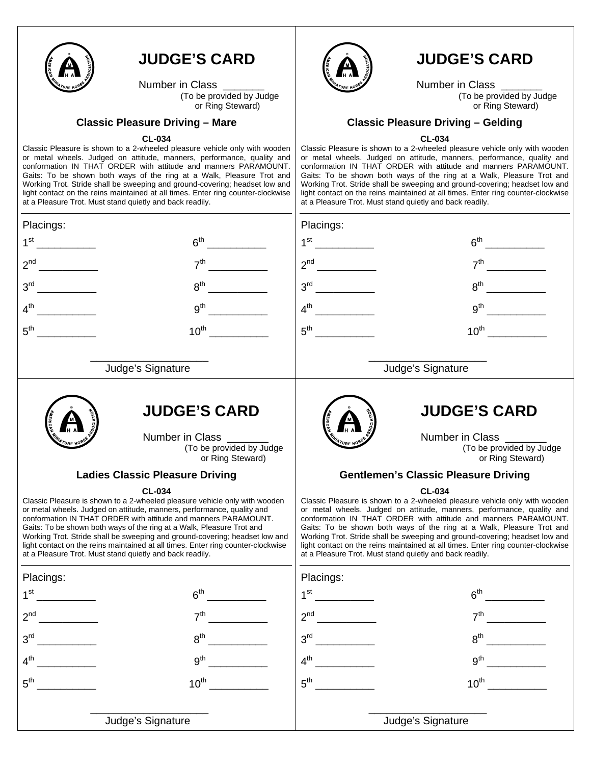

Number in Class<br>(To be provided by Judge or Ring Steward)

### **Classic Pleasure Driving – Mare**

#### **CL-034**

Classic Pleasure is shown to a 2-wheeled pleasure vehicle only with wooden or metal wheels. Judged on attitude, manners, performance, quality and conformation IN THAT ORDER with attitude and manners PARAMOUNT. Gaits: To be shown both ways of the ring at a Walk, Pleasure Trot and Working Trot. Stride shall be sweeping and ground-covering; headset low and light contact on the reins maintained at all times. Enter ring counter-clockwise at a Pleasure Trot. Must stand quietly and back readily.



# **JUDGE'S CARD**

Number in Class<br>(To be provided by Judge or Ring Steward)

### **Classic Pleasure Driving – Gelding**

#### **CL-034**

Classic Pleasure is shown to a 2-wheeled pleasure vehicle only with wooden or metal wheels. Judged on attitude, manners, performance, quality and conformation IN THAT ORDER with attitude and manners PARAMOUNT. Gaits: To be shown both ways of the ring at a Walk, Pleasure Trot and Working Trot. Stride shall be sweeping and ground-covering; headset low and light contact on the reins maintained at all times. Enter ring counter-clockwise at a Pleasure Trot. Must stand quietly and back readily.

| Placings:       |                                                                                                                                                                                                                                                                                                                                                                                                                                                                                                                                                  | Placings:                                                                                                                                                                                                                                                                                                                                                                                                                                                                                                                                        |
|-----------------|--------------------------------------------------------------------------------------------------------------------------------------------------------------------------------------------------------------------------------------------------------------------------------------------------------------------------------------------------------------------------------------------------------------------------------------------------------------------------------------------------------------------------------------------------|--------------------------------------------------------------------------------------------------------------------------------------------------------------------------------------------------------------------------------------------------------------------------------------------------------------------------------------------------------------------------------------------------------------------------------------------------------------------------------------------------------------------------------------------------|
| 1 <sup>st</sup> | 6 <sup>th</sup>                                                                                                                                                                                                                                                                                                                                                                                                                                                                                                                                  | 1 <sup>st</sup>                                                                                                                                                                                                                                                                                                                                                                                                                                                                                                                                  |
| 2 <sup>nd</sup> | 7 <sup>th</sup>                                                                                                                                                                                                                                                                                                                                                                                                                                                                                                                                  | 2 <sup>nd</sup><br>7 <sup>th</sup>                                                                                                                                                                                                                                                                                                                                                                                                                                                                                                               |
| 3 <sup>rd</sup> | 8 <sup>th</sup>                                                                                                                                                                                                                                                                                                                                                                                                                                                                                                                                  | 3 <sup>rd</sup><br>8 <sup>th</sup><br>$\begin{tabular}{ccccc} \multicolumn{2}{c }{\textbf{1} & \multicolumn{2}{c }{\textbf{2} & \multicolumn{2}{c }{\textbf{3} & \multicolumn{2}{c }{\textbf{4} & \multicolumn{2}{c }{\textbf{5} & \multicolumn{2}{c }{\textbf{6} & \multicolumn{2}{c }{\textbf{6} & \multicolumn{2}{c }{\textbf{6} & \multicolumn{2}{c }{\textbf{6} & \multicolumn{2}{c }{\textbf{6} & \multicolumn{2}{c }{\textbf{6} & \multicolumn{2}{c }{\textbf{6} & \multicolumn{2}{$                                                      |
| $4^{\text{th}}$ | 9 <sup>th</sup>                                                                                                                                                                                                                                                                                                                                                                                                                                                                                                                                  | $4^{\text{th}}$<br>9 <sup>th</sup>                                                                                                                                                                                                                                                                                                                                                                                                                                                                                                               |
|                 | $10^{\text{th}}$                                                                                                                                                                                                                                                                                                                                                                                                                                                                                                                                 | $10^{\text{th}}$                                                                                                                                                                                                                                                                                                                                                                                                                                                                                                                                 |
|                 | Judge's Signature                                                                                                                                                                                                                                                                                                                                                                                                                                                                                                                                | Judge's Signature                                                                                                                                                                                                                                                                                                                                                                                                                                                                                                                                |
|                 | <b>JUDGE'S CARD</b><br>Number in Class<br>(To be provided by Judge<br>or Ring Steward)                                                                                                                                                                                                                                                                                                                                                                                                                                                           | <b>JUDGE'S CARD</b><br>Number in Class<br>(To be provided by Judge<br>or Ring Steward)                                                                                                                                                                                                                                                                                                                                                                                                                                                           |
|                 | <b>Ladies Classic Pleasure Driving</b>                                                                                                                                                                                                                                                                                                                                                                                                                                                                                                           | <b>Gentlemen's Classic Pleasure Driving</b>                                                                                                                                                                                                                                                                                                                                                                                                                                                                                                      |
|                 | <b>CL-034</b><br>Classic Pleasure is shown to a 2-wheeled pleasure vehicle only with wooden<br>or metal wheels. Judged on attitude, manners, performance, quality and<br>conformation IN THAT ORDER with attitude and manners PARAMOUNT.<br>Gaits: To be shown both ways of the ring at a Walk, Pleasure Trot and<br>Working Trot. Stride shall be sweeping and ground-covering; headset low and<br>light contact on the reins maintained at all times. Enter ring counter-clockwise<br>at a Pleasure Trot. Must stand quietly and back readily. | <b>CL-034</b><br>Classic Pleasure is shown to a 2-wheeled pleasure vehicle only with wooden<br>or metal wheels. Judged on attitude, manners, performance, quality and<br>conformation IN THAT ORDER with attitude and manners PARAMOUNT.<br>Gaits: To be shown both ways of the ring at a Walk, Pleasure Trot and<br>Working Trot. Stride shall be sweeping and ground-covering; headset low and<br>light contact on the reins maintained at all times. Enter ring counter-clockwise<br>at a Pleasure Trot. Must stand quietly and back readily. |
| Placings:       |                                                                                                                                                                                                                                                                                                                                                                                                                                                                                                                                                  | Placings:                                                                                                                                                                                                                                                                                                                                                                                                                                                                                                                                        |
| $1^{\rm st}$    | 6 <sup>th</sup>                                                                                                                                                                                                                                                                                                                                                                                                                                                                                                                                  | 6 <sup>th</sup>                                                                                                                                                                                                                                                                                                                                                                                                                                                                                                                                  |
|                 | 7 <sup>th</sup>                                                                                                                                                                                                                                                                                                                                                                                                                                                                                                                                  | 2 <sup>nd</sup><br>7 <sup>th</sup>                                                                                                                                                                                                                                                                                                                                                                                                                                                                                                               |
| rdي-            | oth                                                                                                                                                                                                                                                                                                                                                                                                                                                                                                                                              | R <sup>th</sup><br>$2$ rd                                                                                                                                                                                                                                                                                                                                                                                                                                                                                                                        |
| 4 <sup>th</sup> | 9 <sup>th</sup>                                                                                                                                                                                                                                                                                                                                                                                                                                                                                                                                  | 4 <sup>th</sup><br>9 <sup>th</sup>                                                                                                                                                                                                                                                                                                                                                                                                                                                                                                               |
| $5^{\text{th}}$ | $10^{\text{th}}$                                                                                                                                                                                                                                                                                                                                                                                                                                                                                                                                 | $5^{\text{th}}$<br>$10^{th}$                                                                                                                                                                                                                                                                                                                                                                                                                                                                                                                     |
|                 | Judge's Signature                                                                                                                                                                                                                                                                                                                                                                                                                                                                                                                                | Judge's Signature                                                                                                                                                                                                                                                                                                                                                                                                                                                                                                                                |
|                 |                                                                                                                                                                                                                                                                                                                                                                                                                                                                                                                                                  |                                                                                                                                                                                                                                                                                                                                                                                                                                                                                                                                                  |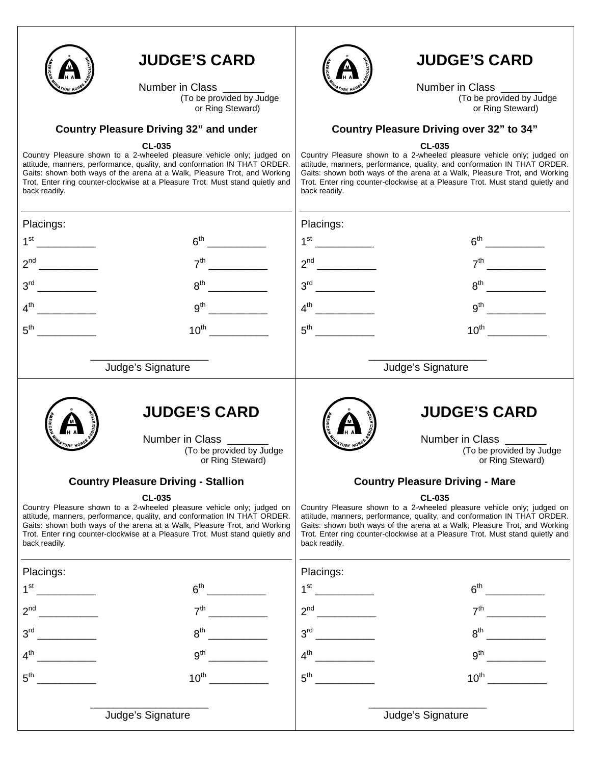

Number in Class<br>(To be provided by Judge or Ring Steward)

### **Country Pleasure Driving 32" and under**

### **CL-035**

Country Pleasure shown to a 2-wheeled pleasure vehicle only; judged on attitude, manners, performance, quality, and conformation IN THAT ORDER. Gaits: shown both ways of the arena at a Walk, Pleasure Trot, and Working Trot. Enter ring counter-clockwise at a Pleasure Trot. Must stand quietly and back readily.



# **JUDGE'S CARD**

Number in Class<br>(To be provided by Judge or Ring Steward)

### **Country Pleasure Driving over 32" to 34"**

#### **CL-035**

Country Pleasure shown to a 2-wheeled pleasure vehicle only; judged on attitude, manners, performance, quality, and conformation IN THAT ORDER. Gaits: shown both ways of the arena at a Walk, Pleasure Trot, and Working Trot. Enter ring counter-clockwise at a Pleasure Trot. Must stand quietly and back readily.

| Placings:                                  |                                                                                                                                                                                                                                                                                                                                   | Placings:                                             |                                                                                                                                                                                                                                                                                                                                   |  |
|--------------------------------------------|-----------------------------------------------------------------------------------------------------------------------------------------------------------------------------------------------------------------------------------------------------------------------------------------------------------------------------------|-------------------------------------------------------|-----------------------------------------------------------------------------------------------------------------------------------------------------------------------------------------------------------------------------------------------------------------------------------------------------------------------------------|--|
| 1 <sup>st</sup>                            |                                                                                                                                                                                                                                                                                                                                   | 1 <sup>st</sup><br><u> 1970 - Jan Jawa Barat, pre</u> |                                                                                                                                                                                                                                                                                                                                   |  |
| 2 <sup>nd</sup>                            | 7 <sup>th</sup>                                                                                                                                                                                                                                                                                                                   |                                                       |                                                                                                                                                                                                                                                                                                                                   |  |
| 3 <sup>rd</sup>                            | $8^{\text{th}}$                                                                                                                                                                                                                                                                                                                   | 3 <sup>rd</sup>                                       | $8^{\text{th}}$                                                                                                                                                                                                                                                                                                                   |  |
| 4 <sup>th</sup>                            | 9 <sup>th</sup>                                                                                                                                                                                                                                                                                                                   | 4 <sup>th</sup>                                       |                                                                                                                                                                                                                                                                                                                                   |  |
| 5 <sup>th</sup>                            | $10^{\text{th}}$                                                                                                                                                                                                                                                                                                                  | $5^{\text{th}}$<br><u> 1990 - Jan Barnett</u>         | $10^{\text{th}}$                                                                                                                                                                                                                                                                                                                  |  |
|                                            | Judge's Signature                                                                                                                                                                                                                                                                                                                 |                                                       | Judge's Signature                                                                                                                                                                                                                                                                                                                 |  |
|                                            | <b>JUDGE'S CARD</b><br>Number in Class<br>(To be provided by Judge<br>or Ring Steward)                                                                                                                                                                                                                                            |                                                       | <b>JUDGE'S CARD</b><br>Number in Class _______<br>(To be provided by Judge<br>or Ring Steward)                                                                                                                                                                                                                                    |  |
| <b>Country Pleasure Driving - Stallion</b> |                                                                                                                                                                                                                                                                                                                                   |                                                       | <b>Country Pleasure Driving - Mare</b>                                                                                                                                                                                                                                                                                            |  |
| back readily.                              | <b>CL-035</b><br>Country Pleasure shown to a 2-wheeled pleasure vehicle only; judged on<br>attitude, manners, performance, quality, and conformation IN THAT ORDER.<br>Gaits: shown both ways of the arena at a Walk, Pleasure Trot, and Working<br>Trot. Enter ring counter-clockwise at a Pleasure Trot. Must stand quietly and | back readily.                                         | <b>CL-035</b><br>Country Pleasure shown to a 2-wheeled pleasure vehicle only; judged on<br>attitude, manners, performance, quality, and conformation IN THAT ORDER.<br>Gaits: shown both ways of the arena at a Walk, Pleasure Trot, and Working<br>Trot. Enter ring counter-clockwise at a Pleasure Trot. Must stand quietly and |  |
| Placings:                                  |                                                                                                                                                                                                                                                                                                                                   | Placings:                                             |                                                                                                                                                                                                                                                                                                                                   |  |
| $1^{\rm st}$                               | 6 <sup>th</sup>                                                                                                                                                                                                                                                                                                                   |                                                       | 6 <sup>th</sup>                                                                                                                                                                                                                                                                                                                   |  |
|                                            | 7 <sup>th</sup>                                                                                                                                                                                                                                                                                                                   | 2 <sup>nd</sup>                                       | 7 <sup>th</sup>                                                                                                                                                                                                                                                                                                                   |  |
| $2^{\text{rd}}$                            | $8^{\text{th}}$                                                                                                                                                                                                                                                                                                                   | 3 <sup>rd</sup>                                       | 8 <sup>th</sup>                                                                                                                                                                                                                                                                                                                   |  |
| 4 <sup>th</sup>                            | 9 <sup>th</sup>                                                                                                                                                                                                                                                                                                                   | 4 <sup>th</sup>                                       | 9 <sup>th</sup>                                                                                                                                                                                                                                                                                                                   |  |
| $5^{\text{th}}$                            | $10^{\text{th}}$                                                                                                                                                                                                                                                                                                                  | 5 <sup>th</sup>                                       | 10 <sup>th</sup>                                                                                                                                                                                                                                                                                                                  |  |
|                                            | Judge's Signature                                                                                                                                                                                                                                                                                                                 |                                                       | Judge's Signature                                                                                                                                                                                                                                                                                                                 |  |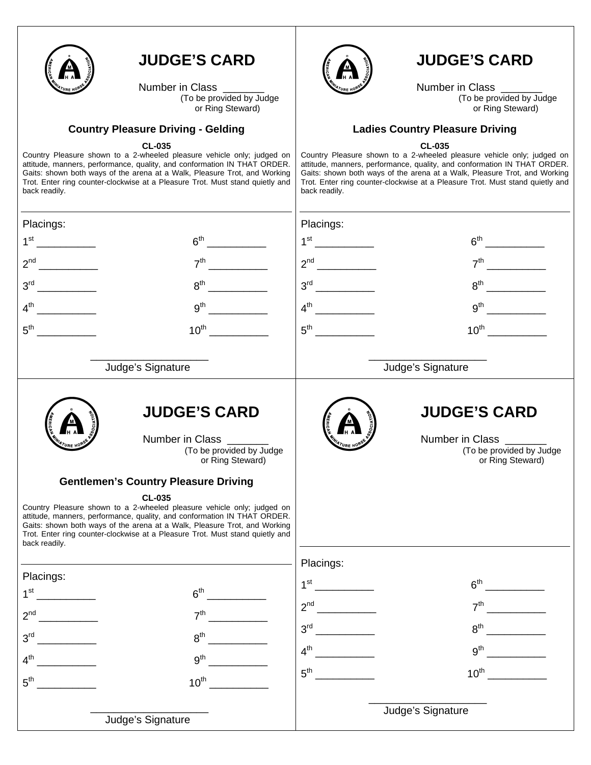

back readily.

## **JUDGE'S CARD**

Number in Class<br>(To be provided by Judge or Ring Steward)

## **Country Pleasure Driving - Gelding**

#### **CL-035**  Country Pleasure shown to a 2-wheeled pleasure vehicle only; judged on attitude, manners, performance, quality, and conformation IN THAT ORDER.

Gaits: shown both ways of the arena at a Walk, Pleasure Trot, and Working Trot. Enter ring counter-clockwise at a Pleasure Trot. Must stand quietly and

# **JUDGE'S CARD**

Number in Class<br>(To be provided by Judge or Ring Steward)

## **Ladies Country Pleasure Driving**

#### **CL-035**

Country Pleasure shown to a 2-wheeled pleasure vehicle only; judged on attitude, manners, performance, quality, and conformation IN THAT ORDER. Gaits: shown both ways of the arena at a Walk, Pleasure Trot, and Working Trot. Enter ring counter-clockwise at a Pleasure Trot. Must stand quietly and back readily.

| Placings:                                   |                                                                                                                                                                                                                                                                                                                                                                                                                                                                                 | Placings:       |                                                                                              |
|---------------------------------------------|---------------------------------------------------------------------------------------------------------------------------------------------------------------------------------------------------------------------------------------------------------------------------------------------------------------------------------------------------------------------------------------------------------------------------------------------------------------------------------|-----------------|----------------------------------------------------------------------------------------------|
| 1 <sup>st</sup>                             | 6 <sup>th</sup>                                                                                                                                                                                                                                                                                                                                                                                                                                                                 |                 |                                                                                              |
| 2 <sup>nd</sup>                             | 7 <sup>th</sup>                                                                                                                                                                                                                                                                                                                                                                                                                                                                 | $2^{nd}$        | 7 <sup>th</sup><br>and the company                                                           |
| 3 <sup>rd</sup>                             | 8 <sup>th</sup>                                                                                                                                                                                                                                                                                                                                                                                                                                                                 |                 | $8^{\text{th}}$                                                                              |
| $4^{\text{th}}$<br>$\overline{\phantom{a}}$ | 9 <sup>th</sup>                                                                                                                                                                                                                                                                                                                                                                                                                                                                 | $4^{\text{th}}$ | 9 <sup>th</sup>                                                                              |
| $5^{\text{th}}$                             | $10^{\text{th}}$                                                                                                                                                                                                                                                                                                                                                                                                                                                                | $5^{\text{th}}$ |                                                                                              |
|                                             | Judge's Signature                                                                                                                                                                                                                                                                                                                                                                                                                                                               |                 | Judge's Signature                                                                            |
| back readily.                               | <b>JUDGE'S CARD</b><br>Number in Class ____<br>(To be provided by Judge<br>or Ring Steward)<br><b>Gentlemen's Country Pleasure Driving</b><br><b>CL-035</b><br>Country Pleasure shown to a 2-wheeled pleasure vehicle only; judged on<br>attitude, manners, performance, quality, and conformation IN THAT ORDER.<br>Gaits: shown both ways of the arena at a Walk, Pleasure Trot, and Working<br>Trot. Enter ring counter-clockwise at a Pleasure Trot. Must stand quietly and |                 | <b>JUDGE'S CARD</b><br>Number in Class _____<br>(To be provided by Judge<br>or Ring Steward) |
| Placings:                                   |                                                                                                                                                                                                                                                                                                                                                                                                                                                                                 | Placings:       |                                                                                              |
| 1 <sup>st</sup>                             | 6 <sup>th</sup>                                                                                                                                                                                                                                                                                                                                                                                                                                                                 | 1 <sup>st</sup> | 6 <sup>th</sup>                                                                              |
| $2^{nd}$                                    | 7 <sup>th</sup>                                                                                                                                                                                                                                                                                                                                                                                                                                                                 | $2^{nd}$        | 7 <sup>th</sup>                                                                              |
| 3 <sup>rd</sup>                             | 8 <sup>th</sup>                                                                                                                                                                                                                                                                                                                                                                                                                                                                 | 3 <sup>rd</sup> | 8 <sup>th</sup>                                                                              |
| $4^{\text{th}}$                             | $9^{\text{th}}$                                                                                                                                                                                                                                                                                                                                                                                                                                                                 | 4 <sup>th</sup> | 9 <sup>th</sup>                                                                              |
| $5^{\text{th}}$                             | $10^{\text{th}}$                                                                                                                                                                                                                                                                                                                                                                                                                                                                | $5^{\text{th}}$ | $10^{\text{th}}$                                                                             |
|                                             | Judge's Signature                                                                                                                                                                                                                                                                                                                                                                                                                                                               |                 | Judge's Signature                                                                            |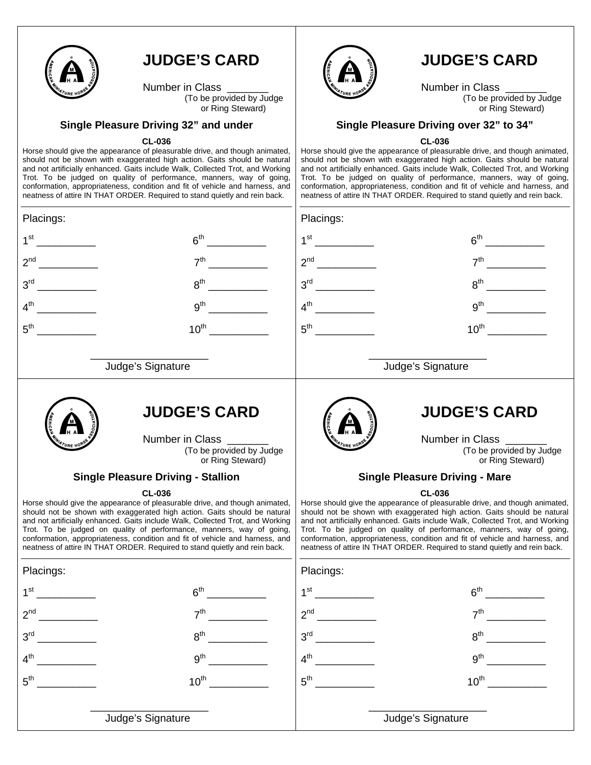

Number in Class \_\_\_\_\_\_\_\_\_\_<br>(To be provided by Judge or Ring Steward)

### **Single Pleasure Driving 32" and under**

#### **CL-036**

Horse should give the appearance of pleasurable drive, and though animated, should not be shown with exaggerated high action. Gaits should be natural and not artificially enhanced. Gaits include Walk, Collected Trot, and Working Trot. To be judged on quality of performance, manners, way of going, conformation, appropriateness, condition and fit of vehicle and harness, and neatness of attire IN THAT ORDER. Required to stand quietly and rein back.



## **JUDGE'S CARD**

Number in Class<br>(To be provided by Judge or Ring Steward)

### **Single Pleasure Driving over 32" to 34"**

**CL-036** 

Horse should give the appearance of pleasurable drive, and though animated, should not be shown with exaggerated high action. Gaits should be natural and not artificially enhanced. Gaits include Walk, Collected Trot, and Working Trot. To be judged on quality of performance, manners, way of going, conformation, appropriateness, condition and fit of vehicle and harness, and neatness of attire IN THAT ORDER. Required to stand quietly and rein back.

|                                                                                                                                                                                                                                                                                                                                                                                                                                                                                                   | Placings:       |                                                                                                                                                                                                                                                                                                                                                                                                                                                                                                   |
|---------------------------------------------------------------------------------------------------------------------------------------------------------------------------------------------------------------------------------------------------------------------------------------------------------------------------------------------------------------------------------------------------------------------------------------------------------------------------------------------------|-----------------|---------------------------------------------------------------------------------------------------------------------------------------------------------------------------------------------------------------------------------------------------------------------------------------------------------------------------------------------------------------------------------------------------------------------------------------------------------------------------------------------------|
| 6 <sup>th</sup>                                                                                                                                                                                                                                                                                                                                                                                                                                                                                   |                 |                                                                                                                                                                                                                                                                                                                                                                                                                                                                                                   |
| 7 <sup>th</sup>                                                                                                                                                                                                                                                                                                                                                                                                                                                                                   |                 |                                                                                                                                                                                                                                                                                                                                                                                                                                                                                                   |
| 8 <sup>th</sup>                                                                                                                                                                                                                                                                                                                                                                                                                                                                                   |                 | 8 <sup>th</sup>                                                                                                                                                                                                                                                                                                                                                                                                                                                                                   |
| 9 <sup>th</sup>                                                                                                                                                                                                                                                                                                                                                                                                                                                                                   | 4 <sup>th</sup> | $9^{\text{th}}$<br><u> 1990 - Jan Jawa</u>                                                                                                                                                                                                                                                                                                                                                                                                                                                        |
| $10^{\text{th}}$                                                                                                                                                                                                                                                                                                                                                                                                                                                                                  | $5^{\text{th}}$ | $10^{th}$                                                                                                                                                                                                                                                                                                                                                                                                                                                                                         |
| Judge's Signature                                                                                                                                                                                                                                                                                                                                                                                                                                                                                 |                 | Judge's Signature                                                                                                                                                                                                                                                                                                                                                                                                                                                                                 |
| <b>JUDGE'S CARD</b><br>Number in Class<br>(To be provided by Judge<br>or Ring Steward)                                                                                                                                                                                                                                                                                                                                                                                                            |                 | <b>JUDGE'S CARD</b><br>Number in Class ____<br>(To be provided by Judge<br>or Ring Steward)                                                                                                                                                                                                                                                                                                                                                                                                       |
| <b>Single Pleasure Driving - Stallion</b>                                                                                                                                                                                                                                                                                                                                                                                                                                                         |                 | <b>Single Pleasure Driving - Mare</b>                                                                                                                                                                                                                                                                                                                                                                                                                                                             |
| <b>CL-036</b><br>Horse should give the appearance of pleasurable drive, and though animated,<br>should not be shown with exaggerated high action. Gaits should be natural<br>and not artificially enhanced. Gaits include Walk, Collected Trot, and Working<br>Trot. To be judged on quality of performance, manners, way of going,<br>conformation, appropriateness, condition and fit of vehicle and harness, and<br>neatness of attire IN THAT ORDER. Required to stand quietly and rein back. |                 | <b>CL-036</b><br>Horse should give the appearance of pleasurable drive, and though animated,<br>should not be shown with exaggerated high action. Gaits should be natural<br>and not artificially enhanced. Gaits include Walk, Collected Trot, and Working<br>Trot. To be judged on quality of performance, manners, way of going,<br>conformation, appropriateness, condition and fit of vehicle and harness, and<br>neatness of attire IN THAT ORDER. Required to stand quietly and rein back. |
|                                                                                                                                                                                                                                                                                                                                                                                                                                                                                                   | Placings:       |                                                                                                                                                                                                                                                                                                                                                                                                                                                                                                   |
| 6 <sup>th</sup>                                                                                                                                                                                                                                                                                                                                                                                                                                                                                   |                 | $6^{\text{th}}$                                                                                                                                                                                                                                                                                                                                                                                                                                                                                   |
| 7 <sup>th</sup>                                                                                                                                                                                                                                                                                                                                                                                                                                                                                   |                 | 7 <sup>th</sup>                                                                                                                                                                                                                                                                                                                                                                                                                                                                                   |
| $8^{\text{th}}$                                                                                                                                                                                                                                                                                                                                                                                                                                                                                   | $3^{\text{rd}}$ | $8^{\text{th}}$                                                                                                                                                                                                                                                                                                                                                                                                                                                                                   |
| 9 <sup>th</sup>                                                                                                                                                                                                                                                                                                                                                                                                                                                                                   | 4 <sup>th</sup> | 9 <sup>th</sup>                                                                                                                                                                                                                                                                                                                                                                                                                                                                                   |
| $10^{\text{th}}$                                                                                                                                                                                                                                                                                                                                                                                                                                                                                  | $5^{\text{th}}$ | $10^{th}$                                                                                                                                                                                                                                                                                                                                                                                                                                                                                         |
| Judge's Signature                                                                                                                                                                                                                                                                                                                                                                                                                                                                                 |                 | Judge's Signature                                                                                                                                                                                                                                                                                                                                                                                                                                                                                 |
|                                                                                                                                                                                                                                                                                                                                                                                                                                                                                                   |                 |                                                                                                                                                                                                                                                                                                                                                                                                                                                                                                   |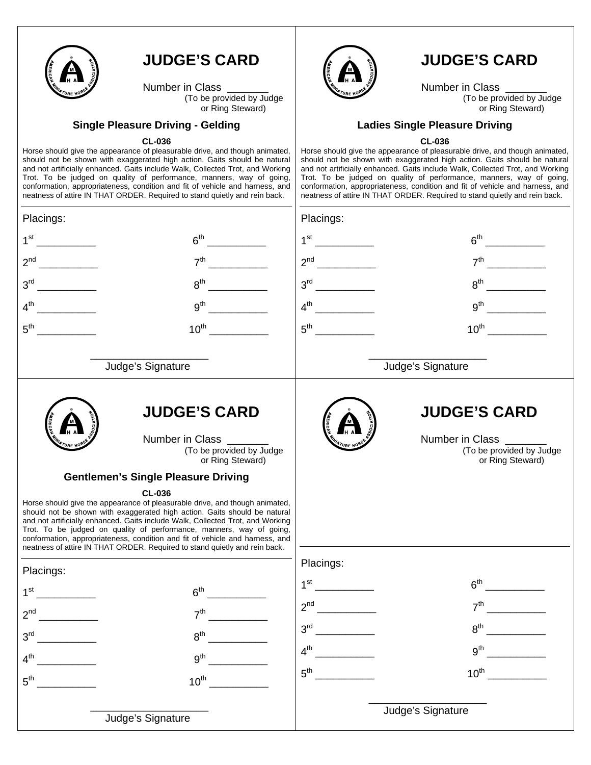

Number in Class \_\_\_\_\_\_\_\_\_\_<br>(To be provided by Judge or Ring Steward)

### **Single Pleasure Driving - Gelding**

#### **CL-036**

Horse should give the appearance of pleasurable drive, and though animated, should not be shown with exaggerated high action. Gaits should be natural and not artificially enhanced. Gaits include Walk, Collected Trot, and Working Trot. To be judged on quality of performance, manners, way of going, conformation, appropriateness, condition and fit of vehicle and harness, and neatness of attire IN THAT ORDER. Required to stand quietly and rein back.



## **JUDGE'S CARD**

Number in Class<br>(To be provided by Judge or Ring Steward)

### **Ladies Single Pleasure Driving**

**CL-036** 

Horse should give the appearance of pleasurable drive, and though animated, should not be shown with exaggerated high action. Gaits should be natural and not artificially enhanced. Gaits include Walk, Collected Trot, and Working Trot. To be judged on quality of performance, manners, way of going, conformation, appropriateness, condition and fit of vehicle and harness, and neatness of attire IN THAT ORDER. Required to stand quietly and rein back.

| Placings:                                                                                                                                                                                                                                                                                                                                                                                                                                                                                                                                                                                                                                        | Placings:                                                                                     |
|--------------------------------------------------------------------------------------------------------------------------------------------------------------------------------------------------------------------------------------------------------------------------------------------------------------------------------------------------------------------------------------------------------------------------------------------------------------------------------------------------------------------------------------------------------------------------------------------------------------------------------------------------|-----------------------------------------------------------------------------------------------|
| 1 <sup>st</sup><br>6 <sup>th</sup>                                                                                                                                                                                                                                                                                                                                                                                                                                                                                                                                                                                                               |                                                                                               |
| 2 <sup>nd</sup><br>7 <sup>th</sup>                                                                                                                                                                                                                                                                                                                                                                                                                                                                                                                                                                                                               | 7 <sup>th</sup><br><u>and the state</u>                                                       |
| 3 <sup>rd</sup><br>8 <sup>th</sup>                                                                                                                                                                                                                                                                                                                                                                                                                                                                                                                                                                                                               | $8^{\text{th}}$                                                                               |
| $4^{\text{th}}$<br>9 <sup>th</sup>                                                                                                                                                                                                                                                                                                                                                                                                                                                                                                                                                                                                               | $\mathbf{g}^{\text{th}}$                                                                      |
| $10^{\text{th}}$                                                                                                                                                                                                                                                                                                                                                                                                                                                                                                                                                                                                                                 | $10^{th}$                                                                                     |
| Judge's Signature                                                                                                                                                                                                                                                                                                                                                                                                                                                                                                                                                                                                                                | Judge's Signature                                                                             |
| <b>JUDGE'S CARD</b><br>Number in Class ______<br>(To be provided by Judge<br>or Ring Steward)<br><b>Gentlemen's Single Pleasure Driving</b><br><b>CL-036</b><br>Horse should give the appearance of pleasurable drive, and though animated,<br>should not be shown with exaggerated high action. Gaits should be natural<br>and not artificially enhanced. Gaits include Walk, Collected Trot, and Working<br>Trot. To be judged on quality of performance, manners, way of going,<br>conformation, appropriateness, condition and fit of vehicle and harness, and<br>neatness of attire IN THAT ORDER. Required to stand quietly and rein back. | <b>JUDGE'S CARD</b><br>Number in Class ______<br>(To be provided by Judge<br>or Ring Steward) |
| Placings:                                                                                                                                                                                                                                                                                                                                                                                                                                                                                                                                                                                                                                        | Placings:                                                                                     |
| 6 <sup>th</sup>                                                                                                                                                                                                                                                                                                                                                                                                                                                                                                                                                                                                                                  | 6 <sup>th</sup><br>7 <sup>th</sup>                                                            |
| 2 <sup>nd</sup><br>7 <sup>th</sup>                                                                                                                                                                                                                                                                                                                                                                                                                                                                                                                                                                                                               | 3 <sup>rd</sup><br>8 <sup>th</sup>                                                            |
| $\mathbf{Q}^{\text{th}}$<br>2rd                                                                                                                                                                                                                                                                                                                                                                                                                                                                                                                                                                                                                  | <u>and the state</u><br>4 <sup>th</sup><br>9 <sup>th</sup>                                    |
| 9 <sup>th</sup><br>4 <sup>th</sup>                                                                                                                                                                                                                                                                                                                                                                                                                                                                                                                                                                                                               | $10^{th}$<br>$5^{\text{th}}$                                                                  |
| $5^{\text{th}}$<br>$10^{\text{th}}$                                                                                                                                                                                                                                                                                                                                                                                                                                                                                                                                                                                                              |                                                                                               |
| Judge's Signature                                                                                                                                                                                                                                                                                                                                                                                                                                                                                                                                                                                                                                | Judge's Signature                                                                             |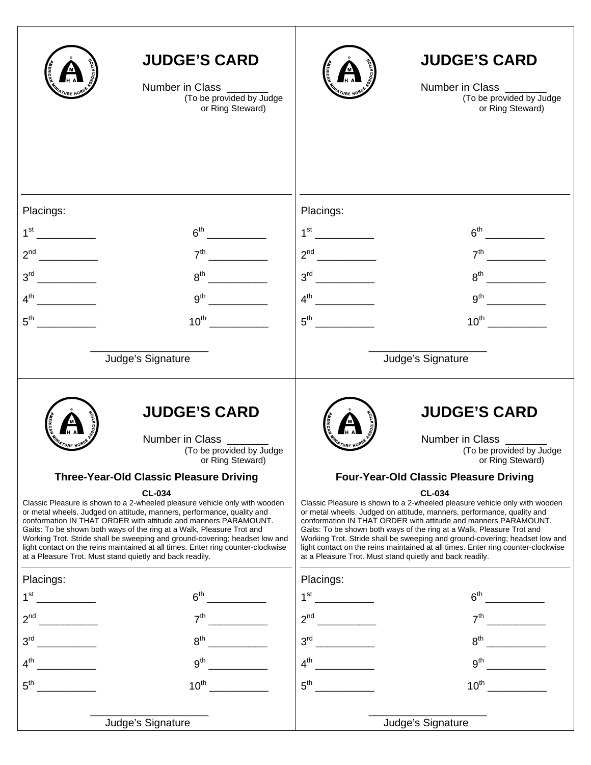|                                                 | <b>JUDGE'S CARD</b><br>Number in Class _______<br>(To be provided by Judge<br>or Ring Steward)                                                                                                                                                                                                                                                                                                                                                                                                                                                                                                                                                                                                       |           | <b>JUDGE'S CARD</b><br>Number in Class ______<br>(To be provided by Judge<br>or Ring Steward)                                                                                                                                                                                                                                                                                                                                                                                                                                                                                                                                                                                                       |
|-------------------------------------------------|------------------------------------------------------------------------------------------------------------------------------------------------------------------------------------------------------------------------------------------------------------------------------------------------------------------------------------------------------------------------------------------------------------------------------------------------------------------------------------------------------------------------------------------------------------------------------------------------------------------------------------------------------------------------------------------------------|-----------|-----------------------------------------------------------------------------------------------------------------------------------------------------------------------------------------------------------------------------------------------------------------------------------------------------------------------------------------------------------------------------------------------------------------------------------------------------------------------------------------------------------------------------------------------------------------------------------------------------------------------------------------------------------------------------------------------------|
| Placings:<br>1 <sup>st</sup>                    |                                                                                                                                                                                                                                                                                                                                                                                                                                                                                                                                                                                                                                                                                                      | Placings: |                                                                                                                                                                                                                                                                                                                                                                                                                                                                                                                                                                                                                                                                                                     |
| 3 <sup>rd</sup><br>$4^{\text{th}}$              | 7 <sup>th</sup><br>$8^{\text{th}}$<br>9 <sup>th</sup>                                                                                                                                                                                                                                                                                                                                                                                                                                                                                                                                                                                                                                                |           | $8^{\text{th}}$                                                                                                                                                                                                                                                                                                                                                                                                                                                                                                                                                                                                                                                                                     |
|                                                 | Judge's Signature                                                                                                                                                                                                                                                                                                                                                                                                                                                                                                                                                                                                                                                                                    |           | $10^{th}$<br>Judge's Signature                                                                                                                                                                                                                                                                                                                                                                                                                                                                                                                                                                                                                                                                      |
|                                                 | <b>JUDGE'S CARD</b><br>Number in Class _______<br>(To be provided by Judge<br>or Ring Steward)<br><b>Three-Year-Old Classic Pleasure Driving</b><br><b>CL-034</b><br>Classic Pleasure is shown to a 2-wheeled pleasure vehicle only with wooden<br>or metal wheels. Judged on attitude, manners, performance, quality and<br>conformation IN THAT ORDER with attitude and manners PARAMOUNT.<br>Gaits: To be shown both ways of the ring at a Walk, Pleasure Trot and<br>Working Trot. Stride shall be sweeping and ground-covering; headset low and<br>light contact on the reins maintained at all times. Enter ring counter-clockwise<br>at a Pleasure Trot. Must stand quietly and back readily. |           | <b>JUDGE'S CARD</b><br>Number in Class _______<br>(To be provided by Judge<br>or Ring Steward)<br><b>Four-Year-Old Classic Pleasure Driving</b><br><b>CL-034</b><br>Classic Pleasure is shown to a 2-wheeled pleasure vehicle only with wooden<br>or metal wheels. Judged on attitude, manners, performance, quality and<br>conformation IN THAT ORDER with attitude and manners PARAMOUNT.<br>Gaits: To be shown both ways of the ring at a Walk, Pleasure Trot and<br>Working Trot. Stride shall be sweeping and ground-covering; headset low and<br>light contact on the reins maintained at all times. Enter ring counter-clockwise<br>at a Pleasure Trot. Must stand quietly and back readily. |
| Placings:<br>1 <sup>st</sup><br>3 <sup>rd</sup> | 6 <sup>th</sup><br>7 <sup>th</sup><br>$8^{\text{th}}$<br>9 <sup>th</sup>                                                                                                                                                                                                                                                                                                                                                                                                                                                                                                                                                                                                                             | Placings: | 7 <sup>th</sup><br>8 <sup>th</sup>                                                                                                                                                                                                                                                                                                                                                                                                                                                                                                                                                                                                                                                                  |
|                                                 | $10^{\text{th}}$<br>Judge's Signature                                                                                                                                                                                                                                                                                                                                                                                                                                                                                                                                                                                                                                                                |           | $10^{\text{th}}$<br>Judge's Signature                                                                                                                                                                                                                                                                                                                                                                                                                                                                                                                                                                                                                                                               |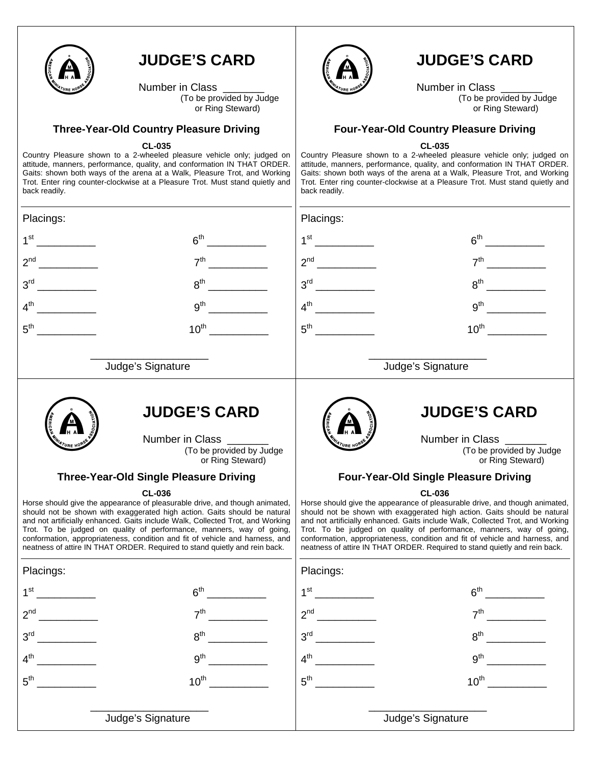

Number in Class<br>(To be provided by Judge or Ring Steward)

### **Three-Year-Old Country Pleasure Driving**

### **CL-035**

Country Pleasure shown to a 2-wheeled pleasure vehicle only; judged on attitude, manners, performance, quality, and conformation IN THAT ORDER. Gaits: shown both ways of the arena at a Walk, Pleasure Trot, and Working Trot. Enter ring counter-clockwise at a Pleasure Trot. Must stand quietly and back readily.



## **JUDGE'S CARD**

Number in Class<br>(To be provided by Judge or Ring Steward)

## **Four-Year-Old Country Pleasure Driving**

#### **CL-035**

Country Pleasure shown to a 2-wheeled pleasure vehicle only; judged on attitude, manners, performance, quality, and conformation IN THAT ORDER. Gaits: shown both ways of the arena at a Walk, Pleasure Trot, and Working Trot. Enter ring counter-clockwise at a Pleasure Trot. Must stand quietly and back readily.

| Placings:                                   |                                                                                                                                                                                                                                                                                                                                                                                                                                                                                                  | Placings:                                    |                                                                                                                                                                                                                                                                                                                                                                                                                                                                                                   |
|---------------------------------------------|--------------------------------------------------------------------------------------------------------------------------------------------------------------------------------------------------------------------------------------------------------------------------------------------------------------------------------------------------------------------------------------------------------------------------------------------------------------------------------------------------|----------------------------------------------|---------------------------------------------------------------------------------------------------------------------------------------------------------------------------------------------------------------------------------------------------------------------------------------------------------------------------------------------------------------------------------------------------------------------------------------------------------------------------------------------------|
| 1 <sup>st</sup>                             | 6 <sup>th</sup>                                                                                                                                                                                                                                                                                                                                                                                                                                                                                  | $1^{\rm st}$                                 | $6^{\text{th}}$                                                                                                                                                                                                                                                                                                                                                                                                                                                                                   |
| 2 <sup>nd</sup><br>$\overline{\phantom{a}}$ | 7 <sup>th</sup>                                                                                                                                                                                                                                                                                                                                                                                                                                                                                  |                                              | 7 <sup>th</sup>                                                                                                                                                                                                                                                                                                                                                                                                                                                                                   |
| 3 <sup>rd</sup><br>$\overline{\phantom{a}}$ | 8 <sup>th</sup>                                                                                                                                                                                                                                                                                                                                                                                                                                                                                  | $3^{\text{rd}}$                              | 8 <sup>th</sup>                                                                                                                                                                                                                                                                                                                                                                                                                                                                                   |
|                                             | 9 <sup>th</sup>                                                                                                                                                                                                                                                                                                                                                                                                                                                                                  |                                              |                                                                                                                                                                                                                                                                                                                                                                                                                                                                                                   |
| $5^{\text{th}}$                             | $10^{\text{th}}$                                                                                                                                                                                                                                                                                                                                                                                                                                                                                 | $5^{\text{th}}$                              | $10^{\text{th}}$                                                                                                                                                                                                                                                                                                                                                                                                                                                                                  |
|                                             | Judge's Signature                                                                                                                                                                                                                                                                                                                                                                                                                                                                                |                                              | Judge's Signature                                                                                                                                                                                                                                                                                                                                                                                                                                                                                 |
|                                             | <b>JUDGE'S CARD</b><br>Number in Class<br>(To be provided by Judge<br>or Ring Steward)                                                                                                                                                                                                                                                                                                                                                                                                           |                                              | <b>JUDGE'S CARD</b><br>Number in Class ______<br>(To be provided by Judge<br>or Ring Steward)                                                                                                                                                                                                                                                                                                                                                                                                     |
|                                             | <b>Three-Year-Old Single Pleasure Driving</b>                                                                                                                                                                                                                                                                                                                                                                                                                                                    | <b>Four-Year-Old Single Pleasure Driving</b> |                                                                                                                                                                                                                                                                                                                                                                                                                                                                                                   |
|                                             | <b>CL-036</b><br>Horse should give the appearance of pleasurable drive, and though animated,<br>should not be shown with exaggerated high action. Gaits should be natural<br>and not artificially enhanced. Gaits include Walk, Collected Trot, and Working<br>Trot. To be judged on quality of performance, manners, way of going<br>conformation, appropriateness, condition and fit of vehicle and harness, and<br>neatness of attire IN THAT ORDER. Required to stand quietly and rein back. |                                              | <b>CL-036</b><br>Horse should give the appearance of pleasurable drive, and though animated,<br>should not be shown with exaggerated high action. Gaits should be natural<br>and not artificially enhanced. Gaits include Walk, Collected Trot, and Working<br>Trot. To be judged on quality of performance, manners, way of going,<br>conformation, appropriateness, condition and fit of vehicle and harness, and<br>neatness of attire IN THAT ORDER. Required to stand quietly and rein back. |
| Placings:                                   |                                                                                                                                                                                                                                                                                                                                                                                                                                                                                                  | Placings:                                    |                                                                                                                                                                                                                                                                                                                                                                                                                                                                                                   |
| $1^{\rm st}$                                | 6 <sup>th</sup>                                                                                                                                                                                                                                                                                                                                                                                                                                                                                  |                                              | $6^{\text{th}}$                                                                                                                                                                                                                                                                                                                                                                                                                                                                                   |
| 2 <sup>nd</sup>                             | 7 <sup>th</sup>                                                                                                                                                                                                                                                                                                                                                                                                                                                                                  | 2 <sup>nd</sup>                              | 7 <sup>th</sup>                                                                                                                                                                                                                                                                                                                                                                                                                                                                                   |
| $3^{\text{rd}}$                             | 8 <sup>th</sup>                                                                                                                                                                                                                                                                                                                                                                                                                                                                                  | 3 <sup>rd</sup>                              | 8 <sup>th</sup>                                                                                                                                                                                                                                                                                                                                                                                                                                                                                   |
| 4 <sup>th</sup>                             | 9 <sup>th</sup>                                                                                                                                                                                                                                                                                                                                                                                                                                                                                  | 4 <sup>th</sup>                              | 9 <sup>th</sup>                                                                                                                                                                                                                                                                                                                                                                                                                                                                                   |
| $5^{\text{th}}$                             | $10^{th}$                                                                                                                                                                                                                                                                                                                                                                                                                                                                                        | 5 <sup>th</sup>                              | $10^{th}$                                                                                                                                                                                                                                                                                                                                                                                                                                                                                         |
|                                             | Judge's Signature                                                                                                                                                                                                                                                                                                                                                                                                                                                                                |                                              | Judge's Signature                                                                                                                                                                                                                                                                                                                                                                                                                                                                                 |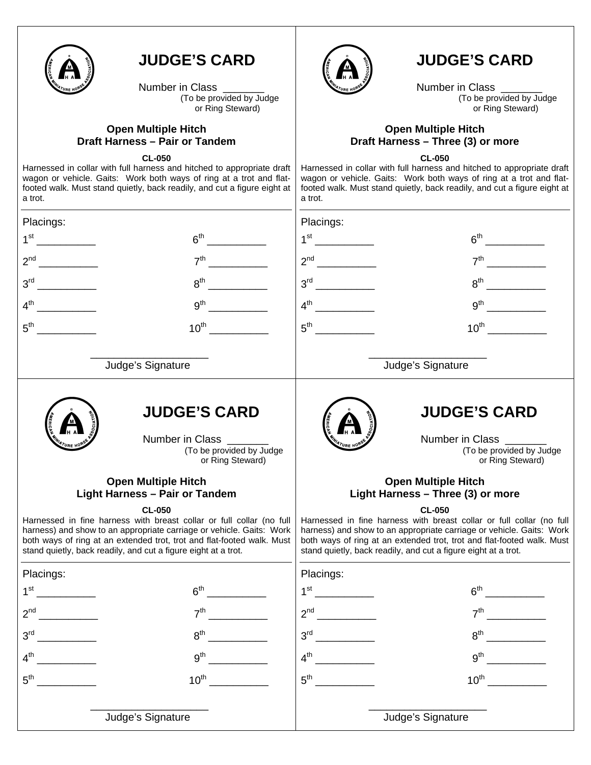

Number in Class<br>(To be provided by Judge or Ring Steward)

## **Open Multiple Hitch Draft Harness – Pair or Tandem**

**CL-050** 

Harnessed in collar with full harness and hitched to appropriate draft wagon or vehicle. Gaits: Work both ways of ring at a trot and flatfooted walk. Must stand quietly, back readily, and cut a figure eight at a trot.



# **JUDGE'S CARD**

Number in Class<br>(To be provided by Judge or Ring Steward)

## **Open Multiple Hitch Draft Harness – Three (3) or more**

**CL-050** 

Harnessed in collar with full harness and hitched to appropriate draft wagon or vehicle. Gaits: Work both ways of ring at a trot and flatfooted walk. Must stand quietly, back readily, and cut a figure eight at a trot.

| Placings:       |                                                                                                                                                                                                                                                                                                           | Placings:                                                    |                                                                                                                                                                                                                                                                                                           |
|-----------------|-----------------------------------------------------------------------------------------------------------------------------------------------------------------------------------------------------------------------------------------------------------------------------------------------------------|--------------------------------------------------------------|-----------------------------------------------------------------------------------------------------------------------------------------------------------------------------------------------------------------------------------------------------------------------------------------------------------|
| 1 <sup>st</sup> | 6 <sup>th</sup>                                                                                                                                                                                                                                                                                           | 1 <sup>st</sup><br><u>and the state</u>                      |                                                                                                                                                                                                                                                                                                           |
| 2 <sup>nd</sup> | 7 <sup>th</sup>                                                                                                                                                                                                                                                                                           | 2 <sup>nd</sup>                                              | $7^{\text{th}}$                                                                                                                                                                                                                                                                                           |
| 3 <sup>rd</sup> | 8 <sup>th</sup>                                                                                                                                                                                                                                                                                           | 3 <sup>rd</sup><br><u>and the community of the community</u> | 8 <sup>th</sup>                                                                                                                                                                                                                                                                                           |
| $4^{\text{th}}$ | 9 <sup>th</sup>                                                                                                                                                                                                                                                                                           | 4 <sup>th</sup>                                              | 9 <sup>th</sup>                                                                                                                                                                                                                                                                                           |
| $5^{\text{th}}$ | $10^{\text{th}}$                                                                                                                                                                                                                                                                                          | $5^{\text{th}}$                                              | $10^{\text{th}}$                                                                                                                                                                                                                                                                                          |
|                 | Judge's Signature                                                                                                                                                                                                                                                                                         |                                                              | Judge's Signature                                                                                                                                                                                                                                                                                         |
|                 | <b>JUDGE'S CARD</b><br>Number in Class ______<br>(To be provided by Judge<br>or Ring Steward)                                                                                                                                                                                                             |                                                              | <b>JUDGE'S CARD</b><br>Number in Class _______<br>(To be provided by Judge<br>or Ring Steward)                                                                                                                                                                                                            |
|                 | <b>Open Multiple Hitch</b><br><b>Light Harness - Pair or Tandem</b>                                                                                                                                                                                                                                       |                                                              | <b>Open Multiple Hitch</b><br>Light Harness - Three (3) or more                                                                                                                                                                                                                                           |
|                 | <b>CL-050</b><br>Harnessed in fine harness with breast collar or full collar (no full<br>harness) and show to an appropriate carriage or vehicle. Gaits: Work<br>both ways of ring at an extended trot, trot and flat-footed walk. Must<br>stand quietly, back readily, and cut a figure eight at a trot. |                                                              | <b>CL-050</b><br>Harnessed in fine harness with breast collar or full collar (no full<br>harness) and show to an appropriate carriage or vehicle. Gaits: Work<br>both ways of ring at an extended trot, trot and flat-footed walk. Must<br>stand quietly, back readily, and cut a figure eight at a trot. |
| Placings:       |                                                                                                                                                                                                                                                                                                           | Placings:                                                    |                                                                                                                                                                                                                                                                                                           |
| 1 <sup>st</sup> | 6 <sup>th</sup>                                                                                                                                                                                                                                                                                           | $1^{\rm st}$                                                 | 6 <sup>th</sup>                                                                                                                                                                                                                                                                                           |
| 2 <sup>nd</sup> | 7 <sup>th</sup>                                                                                                                                                                                                                                                                                           | 2 <sup>nd</sup>                                              | 7 <sup>th</sup>                                                                                                                                                                                                                                                                                           |
| 3 <sup>rd</sup> | $8^{\text{th}}$                                                                                                                                                                                                                                                                                           | 3 <sup>rd</sup>                                              | $8^{\text{th}}$                                                                                                                                                                                                                                                                                           |
| 4 <sup>th</sup> | 9 <sup>th</sup>                                                                                                                                                                                                                                                                                           | 4 <sup>th</sup>                                              | 9 <sup>th</sup>                                                                                                                                                                                                                                                                                           |
| $5^{\text{th}}$ | 10 <sup>th</sup>                                                                                                                                                                                                                                                                                          | 5 <sup>th</sup>                                              | 10 <sup>th</sup>                                                                                                                                                                                                                                                                                          |
|                 | Judge's Signature                                                                                                                                                                                                                                                                                         |                                                              | Judge's Signature                                                                                                                                                                                                                                                                                         |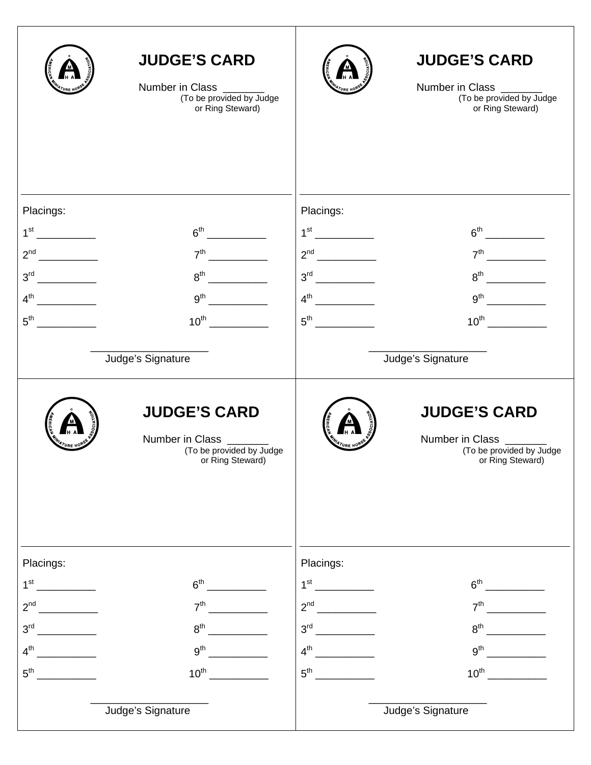|                                    | <b>JUDGE'S CARD</b><br>Number in Class _______<br>(To be provided by Judge<br>or Ring Steward)                                                                                                                                                                                                                         |                 | <b>JUDGE'S CARD</b><br>Number in Class _______<br>(To be provided by Judge<br>or Ring Steward) |
|------------------------------------|------------------------------------------------------------------------------------------------------------------------------------------------------------------------------------------------------------------------------------------------------------------------------------------------------------------------|-----------------|------------------------------------------------------------------------------------------------|
| Placings:                          |                                                                                                                                                                                                                                                                                                                        | Placings:       |                                                                                                |
|                                    |                                                                                                                                                                                                                                                                                                                        |                 |                                                                                                |
|                                    |                                                                                                                                                                                                                                                                                                                        |                 |                                                                                                |
|                                    | $8^{\text{th}}$                                                                                                                                                                                                                                                                                                        |                 |                                                                                                |
|                                    |                                                                                                                                                                                                                                                                                                                        |                 | 9 <sup>th</sup>                                                                                |
| $5^{\text{th}}$                    | $10^{\text{th}}$ and $10^{\text{th}}$ and $10^{\text{th}}$ and $10^{\text{th}}$ and $10^{\text{th}}$ and $10^{\text{th}}$ and $10^{\text{th}}$ and $10^{\text{th}}$ and $10^{\text{th}}$ and $10^{\text{th}}$ and $10^{\text{th}}$ and $10^{\text{th}}$ and $10^{\text{th}}$ and $10^{\text{th}}$ and $10^{\text{th}}$ |                 | $10^{th}$ $\overline{\qquad}$                                                                  |
|                                    | Judge's Signature                                                                                                                                                                                                                                                                                                      |                 | Judge's Signature                                                                              |
|                                    | <b>JUDGE'S CARD</b><br>Number in Class ______<br>(To be provided by Judge<br>or Ring Steward)                                                                                                                                                                                                                          |                 | <b>JUDGE'S CARD</b><br>Number in Class _______<br>(To be provided by Judge<br>or Ring Steward) |
| Placings:                          |                                                                                                                                                                                                                                                                                                                        | Placings:       |                                                                                                |
| 1 <sup>st</sup>                    | 6 <sup>th</sup>                                                                                                                                                                                                                                                                                                        | $1^{\rm st}$    | $6^{\text{th}}$                                                                                |
| 2 <sup>nd</sup>                    | 7 <sup>th</sup>                                                                                                                                                                                                                                                                                                        | 2 <sup>nd</sup> | 7 <sup>th</sup>                                                                                |
|                                    |                                                                                                                                                                                                                                                                                                                        | 3 <sup>rd</sup> | 8 <sup>th</sup>                                                                                |
|                                    | $8^{\text{th}}$                                                                                                                                                                                                                                                                                                        |                 |                                                                                                |
| 3 <sup>rd</sup><br>4 <sup>th</sup> | 9 <sup>th</sup>                                                                                                                                                                                                                                                                                                        | $4^{\text{th}}$ | 9 <sup>th</sup>                                                                                |
| $5^{\text{th}}$                    | $10^{th}$                                                                                                                                                                                                                                                                                                              | $5^{\text{th}}$ | $10^{\text{th}}$                                                                               |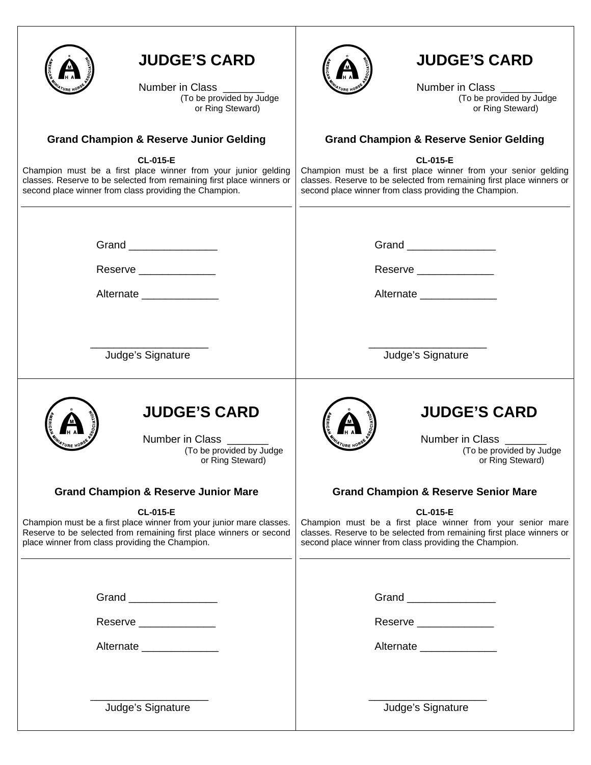| <b>JUDGE'S CARD</b>                                                   | <b>JUDGE'S CARD</b>                                                   |
|-----------------------------------------------------------------------|-----------------------------------------------------------------------|
| Number in Class _______                                               | Number in Class ______                                                |
| (To be provided by Judge                                              | (To be provided by Judge                                              |
| or Ring Steward)                                                      | or Ring Steward)                                                      |
| <b>Grand Champion &amp; Reserve Junior Gelding</b>                    | <b>Grand Champion &amp; Reserve Senior Gelding</b>                    |
| <b>CL-015-E</b>                                                       | <b>CL-015-E</b>                                                       |
| Champion must be a first place winner from your junior gelding        | Champion must be a first place winner from your senior gelding        |
| classes. Reserve to be selected from remaining first place winners or | classes. Reserve to be selected from remaining first place winners or |
| second place winner from class providing the Champion.                | second place winner from class providing the Champion.                |
| Grand ________________                                                | Grand ___________________                                             |
| Reserve _______________                                               | Reserve ______________                                                |
| Alternate                                                             | Alternate _______________                                             |
| Judge's Signature                                                     | Judge's Signature                                                     |
| <b>JUDGE'S CARD</b>                                                   | <b>JUDGE'S CARD</b>                                                   |
| Number in Class _____                                                 | Number in Class <b>Number</b>                                         |
| (To be provided by Judge                                              | (To be provided by Judge                                              |
| or Ring Steward)                                                      | or Ring Steward)                                                      |
| <b>Grand Champion &amp; Reserve Junior Mare</b>                       | <b>Grand Champion &amp; Reserve Senior Mare</b>                       |
| <b>CL-015-E</b>                                                       | <b>CL-015-E</b>                                                       |
| Champion must be a first place winner from your junior mare classes.  | Champion must be a first place winner from your senior mare           |
| Reserve to be selected from remaining first place winners or second   | classes. Reserve to be selected from remaining first place winners or |
| place winner from class providing the Champion.                       | second place winner from class providing the Champion.                |
| Grand __________________                                              | Grand __________________                                              |
| Reserve ______________                                                | Reserve ______________                                                |
| Alternate _______________                                             | Alternate _______________                                             |
| Judge's Signature                                                     | Judge's Signature                                                     |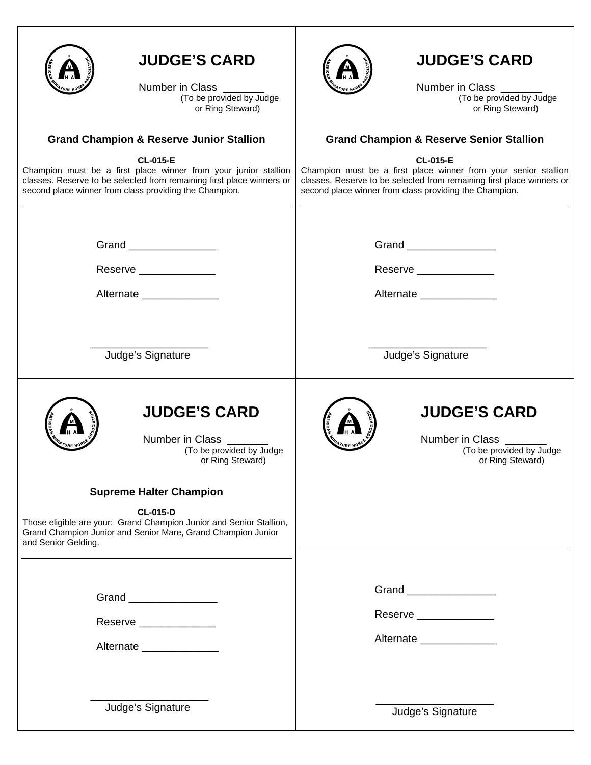| <b>JUDGE'S CARD</b>                                                                                                                                                                                             | <b>JUDGE'S CARD</b>                                                   |
|-----------------------------------------------------------------------------------------------------------------------------------------------------------------------------------------------------------------|-----------------------------------------------------------------------|
| Number in Class _______                                                                                                                                                                                         | Number in Class _______                                               |
| (To be provided by Judge                                                                                                                                                                                        | (To be provided by Judge                                              |
| or Ring Steward)                                                                                                                                                                                                | or Ring Steward)                                                      |
| <b>Grand Champion &amp; Reserve Junior Stallion</b>                                                                                                                                                             | <b>Grand Champion &amp; Reserve Senior Stallion</b>                   |
| <b>CL-015-E</b>                                                                                                                                                                                                 | <b>CL-015-E</b>                                                       |
| Champion must be a first place winner from your junior stallion                                                                                                                                                 | Champion must be a first place winner from your senior stallion       |
| classes. Reserve to be selected from remaining first place winners or                                                                                                                                           | classes. Reserve to be selected from remaining first place winners or |
| second place winner from class providing the Champion.                                                                                                                                                          | second place winner from class providing the Champion.                |
| Grand __________________                                                                                                                                                                                        | Grand __________________                                              |
| Reserve _______________                                                                                                                                                                                         | Reserve _______________                                               |
| Alternate                                                                                                                                                                                                       | Alternate                                                             |
| Judge's Signature                                                                                                                                                                                               | Judge's Signature                                                     |
| <b>JUDGE'S CARD</b>                                                                                                                                                                                             | <b>JUDGE'S CARD</b>                                                   |
| Number in Class _                                                                                                                                                                                               | Number in Class                                                       |
| (To be provided by Judge                                                                                                                                                                                        | (To be provided by Judge                                              |
| or Ring Steward)                                                                                                                                                                                                | or Ring Steward)                                                      |
| <b>Supreme Halter Champion</b><br><b>CL-015-D</b><br>Those eligible are your: Grand Champion Junior and Senior Stallion,<br>Grand Champion Junior and Senior Mare, Grand Champion Junior<br>and Senior Gelding. |                                                                       |
| Grand __________________                                                                                                                                                                                        |                                                                       |
| Reserve ______________                                                                                                                                                                                          | Reserve _______________                                               |
| Alternate                                                                                                                                                                                                       | Alternate                                                             |
| Judge's Signature                                                                                                                                                                                               | Judge's Signature                                                     |